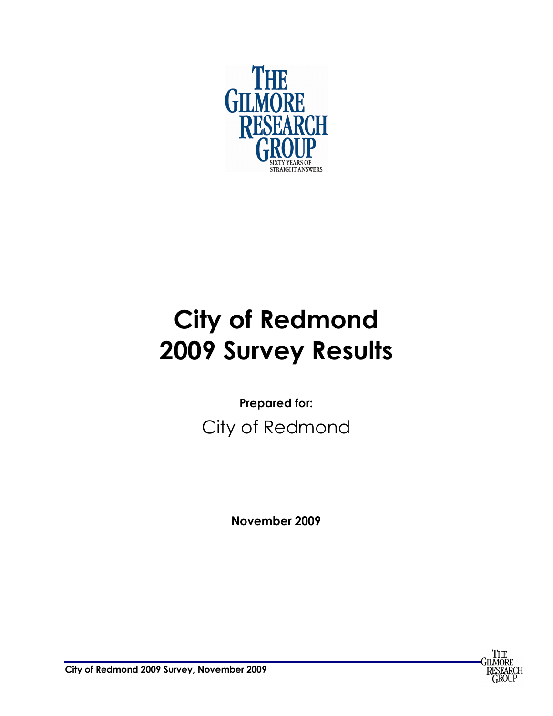

# **City of Redmond 2009 Survey Results**

**Prepared for:**  City of Redmond

**November 2009**



**City of Redmond 2009 Survey, November 2009**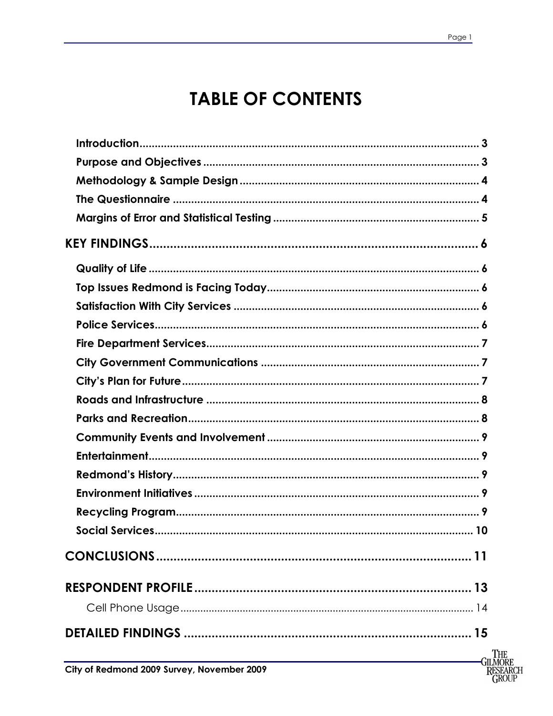# **TABLE OF CONTENTS**

| City of Redmond 2009 Survey, November 2009 | The<br>GILMORE<br>RESEARCH |
|--------------------------------------------|----------------------------|
|                                            | GROUP                      |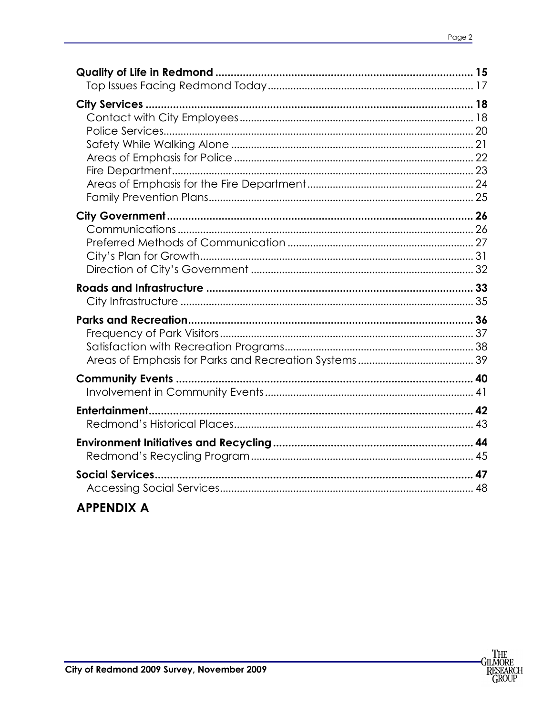### **APPENDIX A**

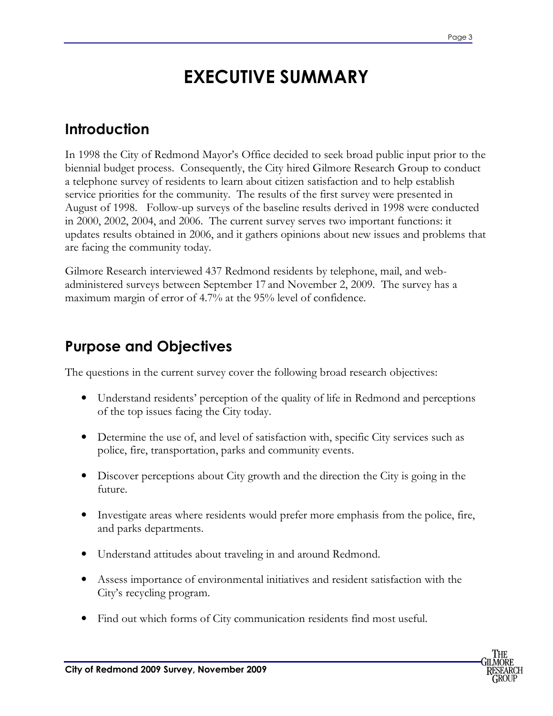# **EXECUTIVE SUMMARY**

### **Introduction**

In 1998 the City of Redmond Mayor's Office decided to seek broad public input prior to the biennial budget process. Consequently, the City hired Gilmore Research Group to conduct a telephone survey of residents to learn about citizen satisfaction and to help establish service priorities for the community. The results of the first survey were presented in August of 1998. Follow-up surveys of the baseline results derived in 1998 were conducted in 2000, 2002, 2004, and 2006. The current survey serves two important functions: it updates results obtained in 2006, and it gathers opinions about new issues and problems that are facing the community today.

Gilmore Research interviewed 437 Redmond residents by telephone, mail, and webadministered surveys between September 17 and November 2, 2009. The survey has a maximum margin of error of 4.7% at the 95% level of confidence.

### **Purpose and Objectives**

The questions in the current survey cover the following broad research objectives:

- Understand residents' perception of the quality of life in Redmond and perceptions of the top issues facing the City today.
- Determine the use of, and level of satisfaction with, specific City services such as police, fire, transportation, parks and community events.
- Discover perceptions about City growth and the direction the City is going in the future.
- Investigate areas where residents would prefer more emphasis from the police, fire, and parks departments.
- Understand attitudes about traveling in and around Redmond.
- Assess importance of environmental initiatives and resident satisfaction with the City's recycling program.
- Find out which forms of City communication residents find most useful.

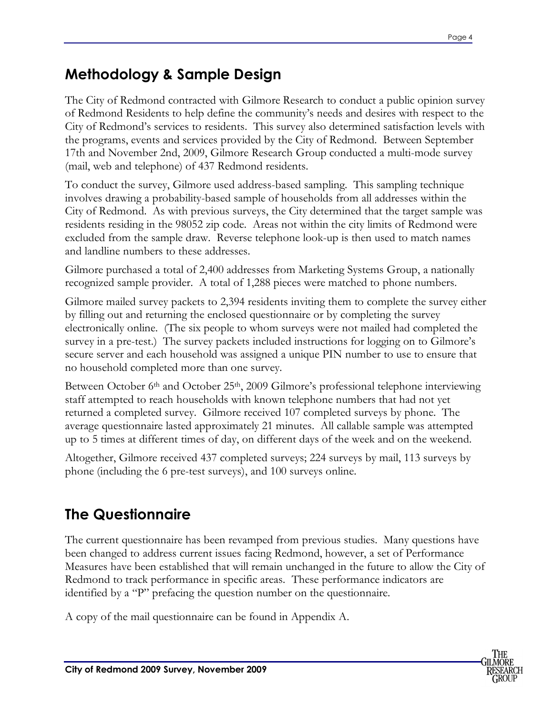### **Methodology & Sample Design**

The City of Redmond contracted with Gilmore Research to conduct a public opinion survey of Redmond Residents to help define the community's needs and desires with respect to the City of Redmond's services to residents. This survey also determined satisfaction levels with the programs, events and services provided by the City of Redmond. Between September 17th and November 2nd, 2009, Gilmore Research Group conducted a multi-mode survey (mail, web and telephone) of 437 Redmond residents.

To conduct the survey, Gilmore used address-based sampling. This sampling technique involves drawing a probability-based sample of households from all addresses within the City of Redmond. As with previous surveys, the City determined that the target sample was residents residing in the 98052 zip code. Areas not within the city limits of Redmond were excluded from the sample draw. Reverse telephone look-up is then used to match names and landline numbers to these addresses.

Gilmore purchased a total of 2,400 addresses from Marketing Systems Group, a nationally recognized sample provider. A total of 1,288 pieces were matched to phone numbers.

Gilmore mailed survey packets to 2,394 residents inviting them to complete the survey either by filling out and returning the enclosed questionnaire or by completing the survey electronically online. (The six people to whom surveys were not mailed had completed the survey in a pre-test.) The survey packets included instructions for logging on to Gilmore's secure server and each household was assigned a unique PIN number to use to ensure that no household completed more than one survey.

Between October 6<sup>th</sup> and October 25<sup>th</sup>, 2009 Gilmore's professional telephone interviewing staff attempted to reach households with known telephone numbers that had not yet returned a completed survey. Gilmore received 107 completed surveys by phone. The average questionnaire lasted approximately 21 minutes. All callable sample was attempted up to 5 times at different times of day, on different days of the week and on the weekend.

Altogether, Gilmore received 437 completed surveys; 224 surveys by mail, 113 surveys by phone (including the 6 pre-test surveys), and 100 surveys online.

### **The Questionnaire**

The current questionnaire has been revamped from previous studies. Many questions have been changed to address current issues facing Redmond, however, a set of Performance Measures have been established that will remain unchanged in the future to allow the City of Redmond to track performance in specific areas. These performance indicators are identified by a "P" prefacing the question number on the questionnaire.

A copy of the mail questionnaire can be found in Appendix A.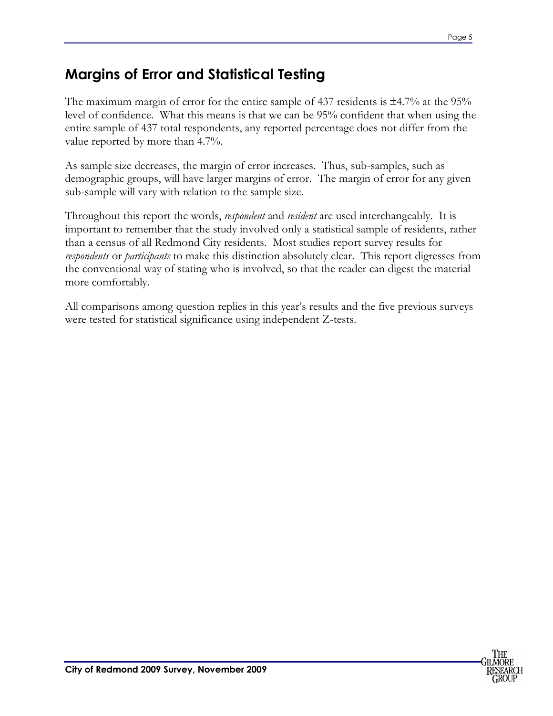### **Margins of Error and Statistical Testing**

The maximum margin of error for the entire sample of 437 residents is  $\pm 4.7\%$  at the 95% level of confidence. What this means is that we can be 95% confident that when using the entire sample of 437 total respondents, any reported percentage does not differ from the value reported by more than 4.7%.

As sample size decreases, the margin of error increases. Thus, sub-samples, such as demographic groups, will have larger margins of error. The margin of error for any given sub-sample will vary with relation to the sample size.

Throughout this report the words, *respondent* and *resident* are used interchangeably. It is important to remember that the study involved only a statistical sample of residents, rather than a census of all Redmond City residents. Most studies report survey results for *respondents* or *participants* to make this distinction absolutely clear. This report digresses from the conventional way of stating who is involved, so that the reader can digest the material more comfortably.

All comparisons among question replies in this year's results and the five previous surveys were tested for statistical significance using independent Z-tests.

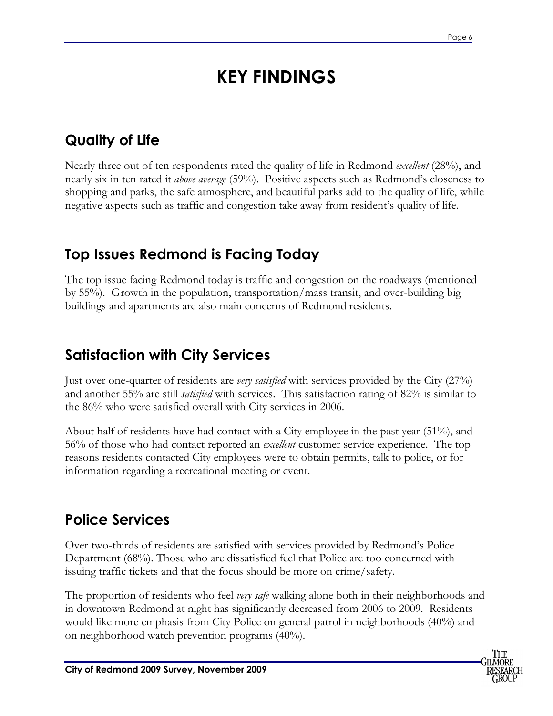# **KEY FINDINGS**

### **Quality of Life**

Nearly three out of ten respondents rated the quality of life in Redmond *excellent* (28%), and nearly six in ten rated it *above average* (59%). Positive aspects such as Redmond's closeness to shopping and parks, the safe atmosphere, and beautiful parks add to the quality of life, while negative aspects such as traffic and congestion take away from resident's quality of life.

### **Top Issues Redmond is Facing Today**

The top issue facing Redmond today is traffic and congestion on the roadways (mentioned by 55%). Growth in the population, transportation/mass transit, and over-building big buildings and apartments are also main concerns of Redmond residents.

### **Satisfaction with City Services**

Just over one-quarter of residents are *very satisfied* with services provided by the City (27%) and another 55% are still *satisfied* with services. This satisfaction rating of 82% is similar to the 86% who were satisfied overall with City services in 2006.

About half of residents have had contact with a City employee in the past year (51%), and 56% of those who had contact reported an *excellent* customer service experience. The top reasons residents contacted City employees were to obtain permits, talk to police, or for information regarding a recreational meeting or event.

### **Police Services**

Over two-thirds of residents are satisfied with services provided by Redmond's Police Department (68%). Those who are dissatisfied feel that Police are too concerned with issuing traffic tickets and that the focus should be more on crime/safety.

The proportion of residents who feel *very safe* walking alone both in their neighborhoods and in downtown Redmond at night has significantly decreased from 2006 to 2009. Residents would like more emphasis from City Police on general patrol in neighborhoods (40%) and on neighborhood watch prevention programs (40%).

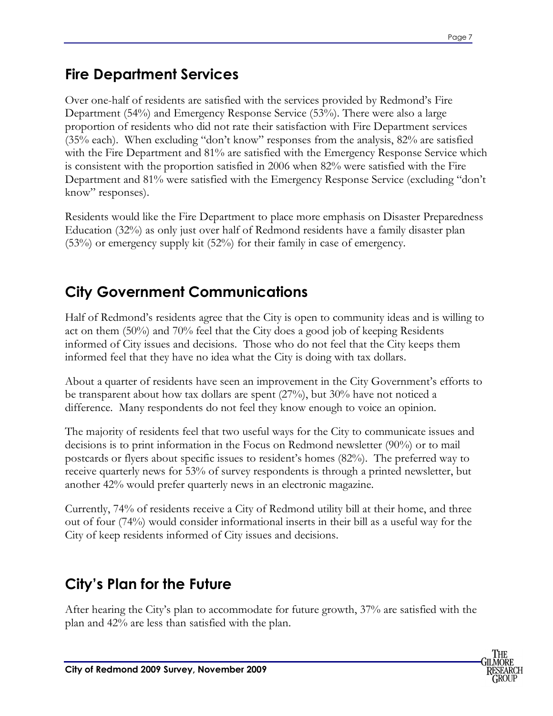### **Fire Department Services**

Over one-half of residents are satisfied with the services provided by Redmond's Fire Department (54%) and Emergency Response Service (53%). There were also a large proportion of residents who did not rate their satisfaction with Fire Department services (35% each). When excluding "don't know" responses from the analysis, 82% are satisfied with the Fire Department and 81% are satisfied with the Emergency Response Service which is consistent with the proportion satisfied in 2006 when 82% were satisfied with the Fire Department and 81% were satisfied with the Emergency Response Service (excluding "don't know" responses).

Residents would like the Fire Department to place more emphasis on Disaster Preparedness Education (32%) as only just over half of Redmond residents have a family disaster plan (53%) or emergency supply kit (52%) for their family in case of emergency.

### **City Government Communications**

Half of Redmond's residents agree that the City is open to community ideas and is willing to act on them (50%) and 70% feel that the City does a good job of keeping Residents informed of City issues and decisions. Those who do not feel that the City keeps them informed feel that they have no idea what the City is doing with tax dollars.

About a quarter of residents have seen an improvement in the City Government's efforts to be transparent about how tax dollars are spent (27%), but 30% have not noticed a difference. Many respondents do not feel they know enough to voice an opinion.

The majority of residents feel that two useful ways for the City to communicate issues and decisions is to print information in the Focus on Redmond newsletter (90%) or to mail postcards or flyers about specific issues to resident's homes (82%). The preferred way to receive quarterly news for 53% of survey respondents is through a printed newsletter, but another 42% would prefer quarterly news in an electronic magazine.

Currently, 74% of residents receive a City of Redmond utility bill at their home, and three out of four (74%) would consider informational inserts in their bill as a useful way for the City of keep residents informed of City issues and decisions.

### **City's Plan for the Future**

After hearing the City's plan to accommodate for future growth, 37% are satisfied with the plan and 42% are less than satisfied with the plan.

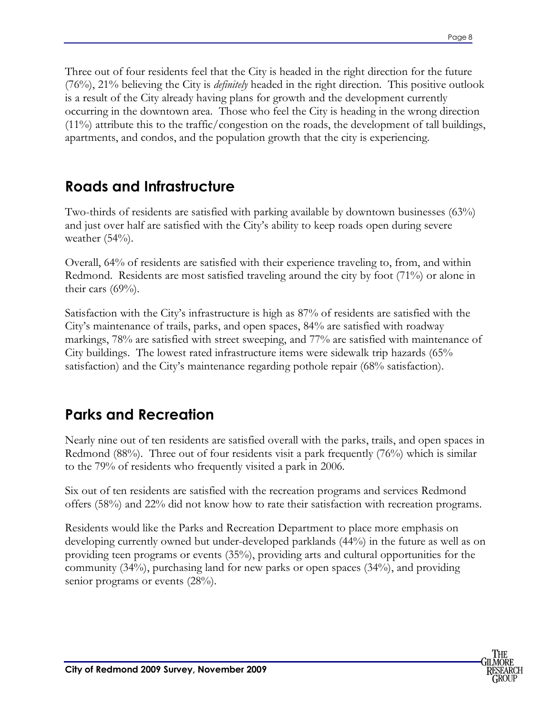Three out of four residents feel that the City is headed in the right direction for the future (76%), 21% believing the City is *definitely* headed in the right direction. This positive outlook is a result of the City already having plans for growth and the development currently occurring in the downtown area. Those who feel the City is heading in the wrong direction  $(11\%)$  attribute this to the traffic/congestion on the roads, the development of tall buildings, apartments, and condos, and the population growth that the city is experiencing.

### **Roads and Infrastructure**

Two-thirds of residents are satisfied with parking available by downtown businesses (63%) and just over half are satisfied with the City's ability to keep roads open during severe weather  $(54%)$ .

Overall, 64% of residents are satisfied with their experience traveling to, from, and within Redmond. Residents are most satisfied traveling around the city by foot (71%) or alone in their cars  $(69\%)$ .

Satisfaction with the City's infrastructure is high as 87% of residents are satisfied with the City's maintenance of trails, parks, and open spaces, 84% are satisfied with roadway markings, 78% are satisfied with street sweeping, and 77% are satisfied with maintenance of City buildings. The lowest rated infrastructure items were sidewalk trip hazards (65% satisfaction) and the City's maintenance regarding pothole repair (68% satisfaction).

### **Parks and Recreation**

Nearly nine out of ten residents are satisfied overall with the parks, trails, and open spaces in Redmond (88%). Three out of four residents visit a park frequently (76%) which is similar to the 79% of residents who frequently visited a park in 2006.

Six out of ten residents are satisfied with the recreation programs and services Redmond offers (58%) and 22% did not know how to rate their satisfaction with recreation programs.

Residents would like the Parks and Recreation Department to place more emphasis on developing currently owned but under-developed parklands (44%) in the future as well as on providing teen programs or events (35%), providing arts and cultural opportunities for the community (34%), purchasing land for new parks or open spaces (34%), and providing senior programs or events  $(28%)$ .

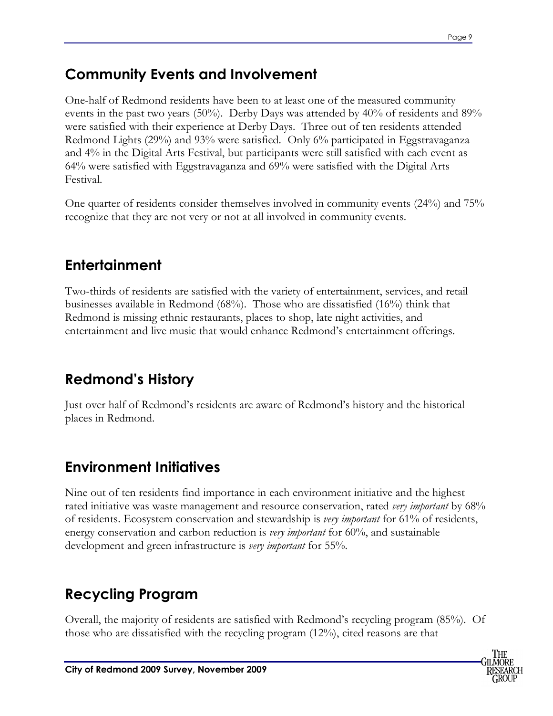### **Community Events and Involvement**

One-half of Redmond residents have been to at least one of the measured community events in the past two years (50%). Derby Days was attended by 40% of residents and 89% were satisfied with their experience at Derby Days. Three out of ten residents attended Redmond Lights (29%) and 93% were satisfied. Only 6% participated in Eggstravaganza and 4% in the Digital Arts Festival, but participants were still satisfied with each event as 64% were satisfied with Eggstravaganza and 69% were satisfied with the Digital Arts Festival.

One quarter of residents consider themselves involved in community events (24%) and 75% recognize that they are not very or not at all involved in community events.

### **Entertainment**

Two-thirds of residents are satisfied with the variety of entertainment, services, and retail businesses available in Redmond (68%). Those who are dissatisfied (16%) think that Redmond is missing ethnic restaurants, places to shop, late night activities, and entertainment and live music that would enhance Redmond's entertainment offerings.

### **Redmond's History**

Just over half of Redmond's residents are aware of Redmond's history and the historical places in Redmond.

### **Environment Initiatives**

Nine out of ten residents find importance in each environment initiative and the highest rated initiative was waste management and resource conservation, rated *very important* by 68% of residents. Ecosystem conservation and stewardship is *very important* for 61% of residents, energy conservation and carbon reduction is *very important* for 60%, and sustainable development and green infrastructure is *very important* for 55%.

### **Recycling Program**

Overall, the majority of residents are satisfied with Redmond's recycling program (85%). Of those who are dissatisfied with the recycling program (12%), cited reasons are that

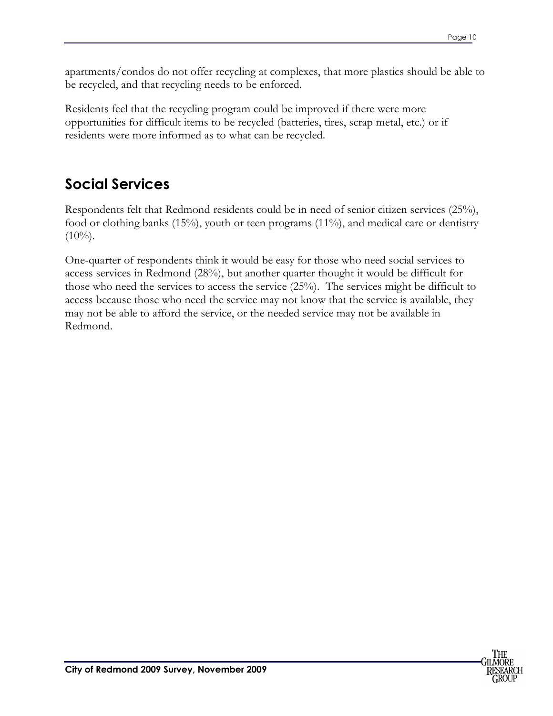apartments/condos do not offer recycling at complexes, that more plastics should be able to be recycled, and that recycling needs to be enforced.

Residents feel that the recycling program could be improved if there were more opportunities for difficult items to be recycled (batteries, tires, scrap metal, etc.) or if residents were more informed as to what can be recycled.

### **Social Services**

Respondents felt that Redmond residents could be in need of senior citizen services (25%), food or clothing banks (15%), youth or teen programs (11%), and medical care or dentistry  $(10\%)$ .

One-quarter of respondents think it would be easy for those who need social services to access services in Redmond (28%), but another quarter thought it would be difficult for those who need the services to access the service (25%). The services might be difficult to access because those who need the service may not know that the service is available, they may not be able to afford the service, or the needed service may not be available in Redmond.

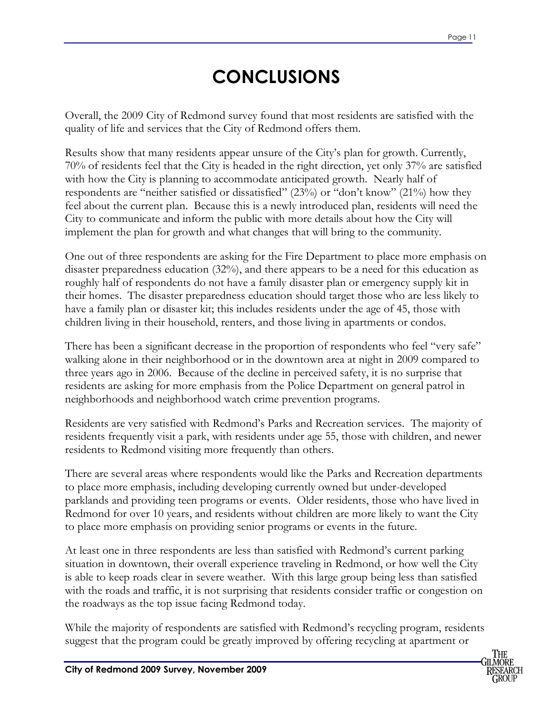# **CONCLUSIONS**

Overall, the 2009 City of Redmond survey found that most residents are satisfied with the quality of life and services that the City of Redmond offers them.

Results show that many residents appear unsure of the City's plan for growth. Currently, 70% of residents feel that the City is headed in the right direction, yet only 37% are satisfied with how the City is planning to accommodate anticipated growth. Nearly half of respondents are "neither satisfied or dissatisfied" (23%) or "don't know" (21%) how they feel about the current plan. Because this is a newly introduced plan, residents will need the City to communicate and inform the public with more details about how the City will implement the plan for growth and what changes that will bring to the community.

One out of three respondents are asking for the Fire Department to place more emphasis on disaster preparedness education (32%), and there appears to be a need for this education as roughly half of respondents do not have a family disaster plan or emergency supply kit in their homes. The disaster preparedness education should target those who are less likely to have a family plan or disaster kit; this includes residents under the age of 45, those with children living in their household, renters, and those living in apartments or condos.

There has been a significant decrease in the proportion of respondents who feel "very safe" walking alone in their neighborhood or in the downtown area at night in 2009 compared to three years ago in 2006. Because of the decline in perceived safety, it is no surprise that residents are asking for more emphasis from the Police Department on general patrol in neighborhoods and neighborhood watch crime prevention programs.

Residents are very satisfied with Redmond's Parks and Recreation services. The majority of residents frequently visit a park, with residents under age 55, those with children, and newer residents to Redmond visiting more frequently than others.

There are several areas where respondents would like the Parks and Recreation departments to place more emphasis, including developing currently owned but under-developed parklands and providing teen programs or events. Older residents, those who have lived in Redmond for over 10 years, and residents without children are more likely to want the City to place more emphasis on providing senior programs or events in the future.

At least one in three respondents are less than satisfied with Redmond's current parking situation in downtown, their overall experience traveling in Redmond, or how well the City is able to keep roads clear in severe weather. With this large group being less than satisfied with the roads and traffic, it is not surprising that residents consider traffic or congestion on the roadways as the top issue facing Redmond today.

While the majority of respondents are satisfied with Redmond's recycling program, residents suggest that the program could be greatly improved by offering recycling at apartment or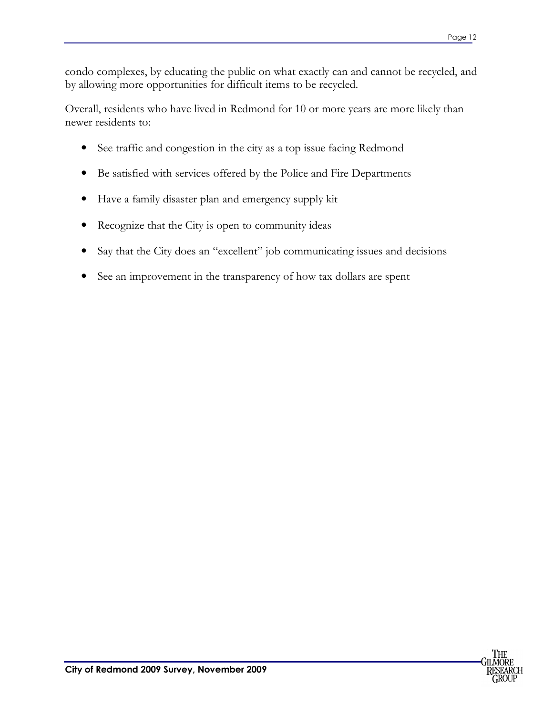condo complexes, by educating the public on what exactly can and cannot be recycled, and by allowing more opportunities for difficult items to be recycled.

Overall, residents who have lived in Redmond for 10 or more years are more likely than newer residents to:

- See traffic and congestion in the city as a top issue facing Redmond
- Be satisfied with services offered by the Police and Fire Departments
- Have a family disaster plan and emergency supply kit
- Recognize that the City is open to community ideas
- Say that the City does an "excellent" job communicating issues and decisions
- See an improvement in the transparency of how tax dollars are spent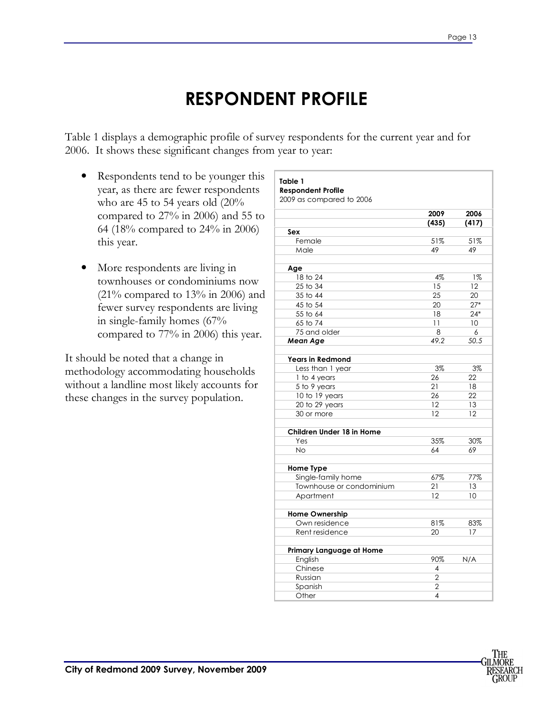# **RESPONDENT PROFILE**

Table 1 displays a demographic profile of survey respondents for the current year and for 2006. It shows these significant changes from year to year:

- Respondents tend to be younger this year, as there are fewer respondents who are 45 to 54 years old (20% compared to 27% in 2006) and 55 to 64 (18% compared to 24% in 2006) this year.
- More respondents are living in townhouses or condominiums now  $(21\%$  compared to  $13\%$  in 2006) and fewer survey respondents are living in single-family homes (67% compared to 77% in 2006) this year.

It should be noted that a change in methodology accommodating households without a landline most likely accounts for these changes in the survey population.

| 2009 as compared to 2006  |                         |       |
|---------------------------|-------------------------|-------|
|                           | 2009                    | 2006  |
|                           | (435)                   | (417) |
| Sex                       |                         |       |
| Female                    | 51%                     | 51%   |
| Male                      | 49                      | 49    |
| Age                       |                         |       |
| 18 to 24                  | 4%                      | $1\%$ |
| $25$ to $34$              | 15                      | 12    |
| 35 to 44                  | 25                      | 20    |
| 45 to 54                  | 20                      | $27*$ |
| 55 to 64                  | 18                      | $24*$ |
| 65 to 74                  | 11                      | 10    |
| 75 and older              | 8                       | 6     |
| Mean Age                  | 49.2                    | 50.5  |
| <b>Years in Redmond</b>   |                         |       |
| Less than 1 year          | 3%                      | $3\%$ |
| 1 to 4 years              | 26                      | 22    |
| 5 to 9 years              | 21                      | 18    |
| 10 to 19 years            | 26                      | 22    |
| 20 to 29 years            | 12                      | 13    |
| 30 or more                | 12                      | 12    |
| Children Under 18 in Home |                         |       |
| Yes                       | 35%                     | 30%   |
| <b>No</b>                 | 64                      | 69    |
| Home Type                 |                         |       |
| Single-family home        | 67%                     | 77%   |
| Townhouse or condominium  | 21                      | 13    |
| Apartment                 | 12                      | 10    |
| <b>Home Ownership</b>     |                         |       |
| Own residence             | 81%                     | 83%   |
| Rent residence            | 20                      | 17    |
| Primary Language at Home  |                         |       |
| English                   | 90%                     | N/A   |
| Chinese                   | 4                       |       |
| Russian                   | $\overline{2}$          |       |
| Spanish                   | $\overline{2}$          |       |
| Other                     | $\overline{\mathbf{A}}$ |       |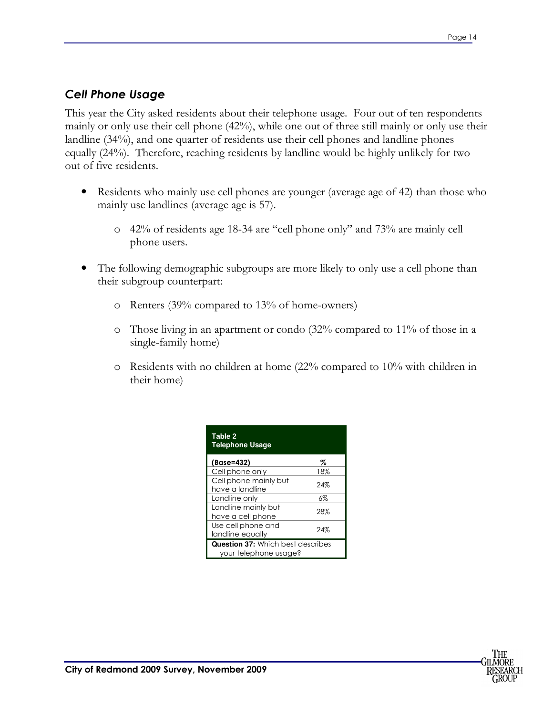#### *Cell Phone Usage*

This year the City asked residents about their telephone usage. Four out of ten respondents mainly or only use their cell phone (42%), while one out of three still mainly or only use their landline (34%), and one quarter of residents use their cell phones and landline phones equally (24%). Therefore, reaching residents by landline would be highly unlikely for two out of five residents.

- Residents who mainly use cell phones are younger (average age of 42) than those who mainly use landlines (average age is 57).
	- o 42% of residents age 18-34 are "cell phone only" and 73% are mainly cell phone users.
- The following demographic subgroups are more likely to only use a cell phone than their subgroup counterpart:
	- o Renters (39% compared to 13% of home-owners)
	- o Those living in an apartment or condo (32% compared to 11% of those in a single-family home)
	- o Residents with no children at home (22% compared to 10% with children in their home)

| Table 2<br><b>Telephone Usage</b>                          |       |  |  |
|------------------------------------------------------------|-------|--|--|
| (Base=432)                                                 | Z     |  |  |
| Cell phone only                                            | 18%   |  |  |
| Cell phone mainly but<br>have a landline                   | 24%   |  |  |
| Landline onlv                                              | $6\%$ |  |  |
| Landline mainly but<br>have a cell phone                   | 28%   |  |  |
| Use cell phone and<br>landline equally                     | 24%   |  |  |
| Question 37: Which best describes<br>your telephone usage? |       |  |  |

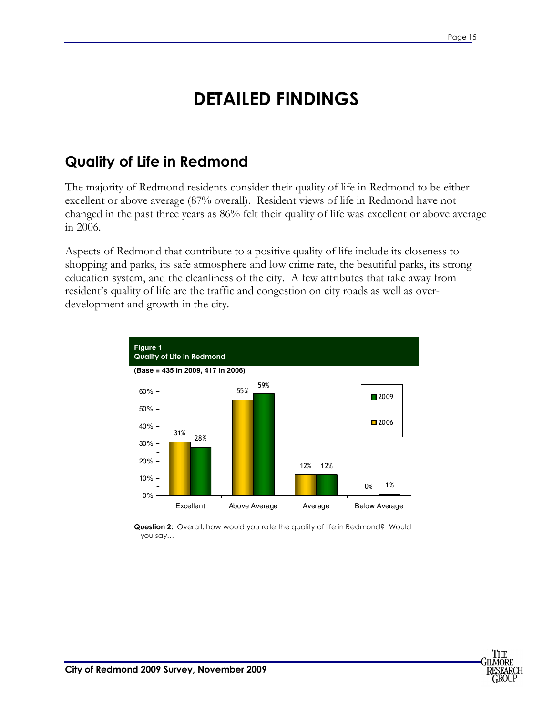# **DETAILED FINDINGS**

### **Quality of Life in Redmond**

The majority of Redmond residents consider their quality of life in Redmond to be either excellent or above average (87% overall). Resident views of life in Redmond have not changed in the past three years as 86% felt their quality of life was excellent or above average in 2006.

Aspects of Redmond that contribute to a positive quality of life include its closeness to shopping and parks, its safe atmosphere and low crime rate, the beautiful parks, its strong education system, and the cleanliness of the city. A few attributes that take away from resident's quality of life are the traffic and congestion on city roads as well as overdevelopment and growth in the city.



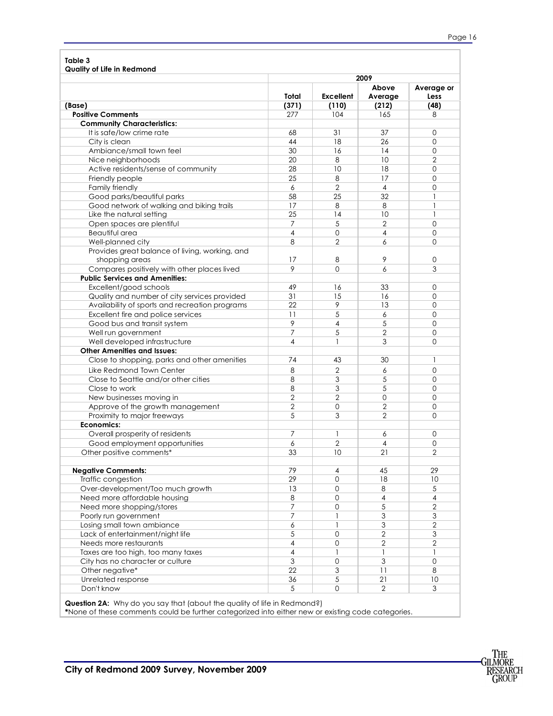| Table 3                                                                  |                 |                  |                  |                     |
|--------------------------------------------------------------------------|-----------------|------------------|------------------|---------------------|
| Quality of Life in Redmond                                               | 2009            |                  |                  |                     |
|                                                                          | Total           | <b>Excellent</b> | Above<br>Average | Average or<br>Less  |
| (Base)                                                                   | (371)           | (110)            | (212)            | (48)                |
| <b>Positive Comments</b>                                                 | 277             | 104              | 165              | 8                   |
| <b>Community Characteristics:</b>                                        |                 |                  |                  |                     |
| It is safe/low crime rate                                                | 68              | 31               | 37               | 0                   |
| City is clean                                                            | 44              | 18               | 26               | $\mathbf 0$         |
| Ambiance/small town feel                                                 | 30              | 16               | 14               | 0                   |
| Nice neighborhoods                                                       | 20              | 8                | 10               | $\overline{2}$      |
| Active residents/sense of community                                      | 28              | 10               | 18               | 0                   |
| Friendly people                                                          | 25              | 8                | 17               | 0                   |
| Family friendly                                                          | 6               | $\overline{2}$   | $\overline{4}$   | 0                   |
| Good parks/beautiful parks                                               | 58              | 25               | 32               | 1                   |
| Good network of walking and biking trails                                | 17              | 8                | 8                | 1                   |
| Like the natural setting                                                 | 25              | 14               | 10               | 1                   |
| Open spaces are plentiful                                                | 7               | 5                | $\overline{2}$   | $\mathbf 0$         |
| Beautiful area                                                           | 4               | 0                | 4                | 0                   |
| Well-planned city                                                        | 8               | $\overline{2}$   | 6                | 0                   |
| Provides great balance of living, working, and<br>shopping areas         | 17              | 8                | 9                | 0                   |
| Compares positively with other places lived                              | 9               | $\Omega$         | 6                | 3                   |
| <b>Public Services and Amenities:</b>                                    |                 |                  |                  |                     |
| Excellent/good schools                                                   | 49              | 16               | 33               | 0                   |
| Quality and number of city services provided                             | 31              | 15               | 16               | $\mathbf 0$         |
| Availability of sports and recreation programs                           | 22              | 9                | 13               | $\mathbf 0$         |
| Excellent fire and police services                                       | $\overline{11}$ | 5                | 6                | 0                   |
| Good bus and transit system                                              | 9               | 4                | 5                | $\mathbf 0$         |
| Well run government                                                      | 7               | 5                | $\overline{2}$   | 0                   |
| Well developed infrastructure                                            | 4               | 1                | 3                | $\Omega$            |
| <b>Other Amenities and Issues:</b>                                       |                 |                  |                  |                     |
| Close to shopping, parks and other amenities                             | 74              | 43               | 30               | $\mathbf{1}$        |
| Like Redmond Town Center                                                 | 8               | $\overline{2}$   | 6                | $\mathbf 0$         |
| Close to Seattle and/or other cities                                     | 8               | 3                | 5                | 0                   |
| Close to work                                                            | 8               | 3                | 5                | $\mathbf 0$         |
| New businesses moving in                                                 | $\overline{2}$  | $\overline{2}$   | 0                | $\mathbf 0$         |
| Approve of the growth management                                         | 2               | 0                | 2                | 0                   |
| Proximity to major freeways                                              | 5               | 3                | $\overline{2}$   | 0                   |
| <b>Economics:</b>                                                        |                 |                  |                  |                     |
| Overall prosperity of residents                                          | 7               | 1                | 6                | 0                   |
| Good employment opportunities                                            | 6               | $\overline{2}$   | 4                | $\mathsf{O}\xspace$ |
| Other positive comments*                                                 | 33              | 10               | 21               | $\overline{2}$      |
| <b>Negative Comments:</b>                                                | 79              | $\overline{4}$   | 45               | 29                  |
| Traffic congestion                                                       | 29              | $\Omega$         | 18               | 10                  |
| Over-development/Too much growth                                         | 13              | $\mathbf 0$      | 8                | 5                   |
| Need more affordable housing                                             | 8               | $\mathbf 0$      | $\overline{4}$   | $\sqrt{4}$          |
| Need more shopping/stores                                                | $\overline{7}$  | $\mathbf{O}$     | 5                | $\mathbf{2}$        |
| Poorly run government                                                    | 7               |                  | 3                | 3                   |
| Losing small town ambiance                                               | 6               | 1                | 3                | $\overline{2}$      |
| Lack of entertainment/night life                                         | 5               | $\mathbf{O}$     | $\mathbf{2}$     | $\mathfrak 3$       |
| Needs more restaurants                                                   | $\overline{4}$  | $\mathbf 0$      | $\mathbf{2}$     | $\overline{2}$      |
| Taxes are too high, too many taxes                                       | $\overline{4}$  | 1                | 1                | 1                   |
| City has no character or culture                                         | 3               | $\mathbf{O}$     | 3                | $\mathsf{O}\xspace$ |
| Other negative*                                                          | 22              | 3                | 11               | 8                   |
| Unrelated response                                                       | 36              | 5                | 21               | 10                  |
| Don't know                                                               | 5               | $\mathbf{O}$     | $\overline{2}$   | 3                   |
| Question 2A: Why do you say that (about the quality of life in Redmond?) |                 |                  |                  |                     |
|                                                                          |                 |                  |                  |                     |

**\***None of these comments could be further categorized into either new or existing code categories.

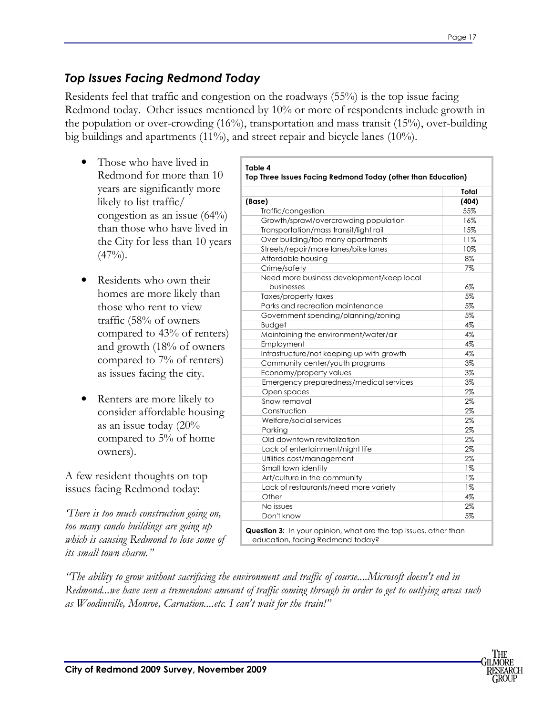#### *Top Issues Facing Redmond Today*

Residents feel that traffic and congestion on the roadways (55%) is the top issue facing Redmond today. Other issues mentioned by 10% or more of respondents include growth in the population or over-crowding (16%), transportation and mass transit (15%), over-building big buildings and apartments (11%), and street repair and bicycle lanes (10%).

- Those who have lived in Redmond for more than 10 years are significantly more likely to list traffic/ congestion as an issue  $(64%)$ than those who have lived in the City for less than 10 years  $(47\%)$ .
- Residents who own their homes are more likely than those who rent to view traffic (58% of owners compared to 43% of renters) and growth (18% of owners compared to 7% of renters) as issues facing the city.
- Renters are more likely to consider affordable housing as an issue today (20% compared to 5% of home owners).

A few resident thoughts on top issues facing Redmond today:

*'There is too much construction going on, too many condo buildings are going up which is causing Redmond to lose some of its small town charm."* 

|                                           | Total |
|-------------------------------------------|-------|
| (Base)                                    | (404) |
| Traffic/congestion                        | 55%   |
| Growth/sprawl/overcrowding population     | 16%   |
| Transportation/mass transit/light rail    | 15%   |
| Over building/too many apartments         | 11%   |
| Streets/repair/more lanes/bike lanes      | 10%   |
| Affordable housing                        | 8%    |
| Crime/safety                              | 7%    |
| Need more business development/keep local |       |
| businesses                                | 6%    |
| Taxes/property taxes                      | 5%    |
| Parks and recreation maintenance          | 5%    |
| Government spending/planning/zoning       | 5%    |
| <b>Budget</b>                             | 4%    |
| Maintaining the environment/water/air     | 4%    |
| Employment                                | 4%    |
| Infrastructure/not keeping up with growth | 4%    |
| Community center/youth programs           | 3%    |
| Economy/property values                   | 3%    |
| Emergency preparedness/medical services   | 3%    |
| Open spaces                               | 2%    |
| Snow removal                              | 2%    |
| Construction                              | 2%    |
| Welfare/social services                   | 2%    |
| Parking                                   | 2%    |
| Old downtown revitalization               | 2%    |
| Lack of entertainment/night life          | 2%    |
| Utilities cost/management                 | 2%    |
| Small town identity                       | $1\%$ |
| Art/culture in the community              | $1\%$ |
| Lack of restaurants/need more variety     | 1%    |
| Other                                     | 4%    |
| No issues                                 | 2%    |
| Don't know                                | 5%    |

*"The ability to grow without sacrificing the environment and traffic of course....Microsoft doesn't end in Redmond...we have seen a tremendous amount of traffic coming through in order to get to outlying areas such as Woodinville, Monroe, Carnation....etc. I can't wait for the train!"* 

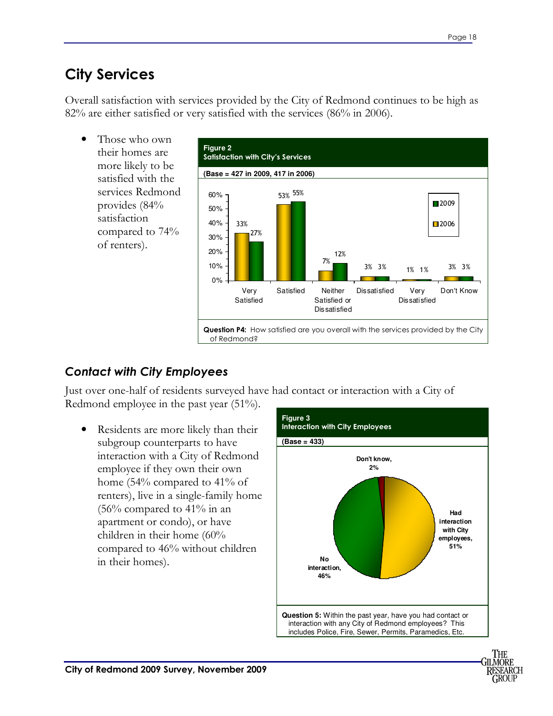### **City Services**

Overall satisfaction with services provided by the City of Redmond continues to be high as 82% are either satisfied or very satisfied with the services (86% in 2006).

• Those who own their homes are more likely to be satisfied with the services Redmond provides (84% satisfaction compared to 74% of renters).



#### *Contact with City Employees*

Just over one-half of residents surveyed have had contact or interaction with a City of Redmond employee in the past year (51%).

• Residents are more likely than their subgroup counterparts to have interaction with a City of Redmond employee if they own their own home (54% compared to 41% of renters), live in a single-family home  $(56\%$  compared to 41% in an apartment or condo), or have children in their home (60% compared to 46% without children in their homes).

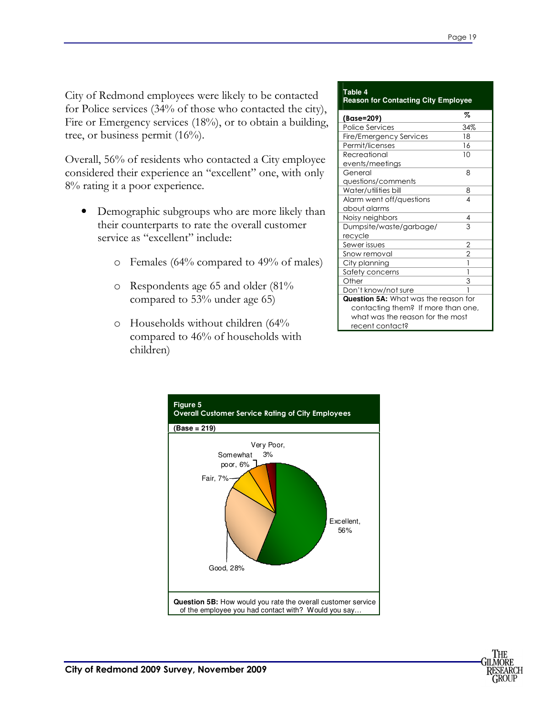City of Redmond employees were likely to be contacted for Police services (34% of those who contacted the city), Fire or Emergency services (18%), or to obtain a building, tree, or business permit  $(16\%)$ .

Overall, 56% of residents who contacted a City employee considered their experience an "excellent" one, with only 8% rating it a poor experience.

- Demographic subgroups who are more likely than their counterparts to rate the overall customer service as "excellent" include:
	- o Females (64% compared to 49% of males)
	- o Respondents age 65 and older (81% compared to 53% under age 65)
	- o Households without children (64% compared to 46% of households with children)

#### **Table 4 Reason for Contacting City Employee**

| (Base=209)                                  | Z             |
|---------------------------------------------|---------------|
| <b>Police Services</b>                      | 34%           |
| Fire/Emergency Services                     | 18            |
| Permit/licenses                             | 16            |
| Recreational                                | 10            |
| events/meetings                             |               |
| General                                     | 8             |
| questions/comments                          |               |
| Water/utilities bill                        | 8             |
| Alarm went off/questions                    | 4             |
| about alarms                                |               |
| Noisy neighbors                             | 4             |
| Dumpsite/waste/garbage/                     | 3             |
| recycle                                     |               |
| Sewer issues                                | $\frac{2}{2}$ |
| Snow removal                                |               |
| City planning                               |               |
| Safety concerns                             | 1             |
| Other                                       | 3             |
| Don't know/not sure                         |               |
| <b>Question 5A:</b> What was the reason for |               |
| contacting them? If more than one,          |               |
| what was the reason for the most            |               |
| recent contact?                             |               |



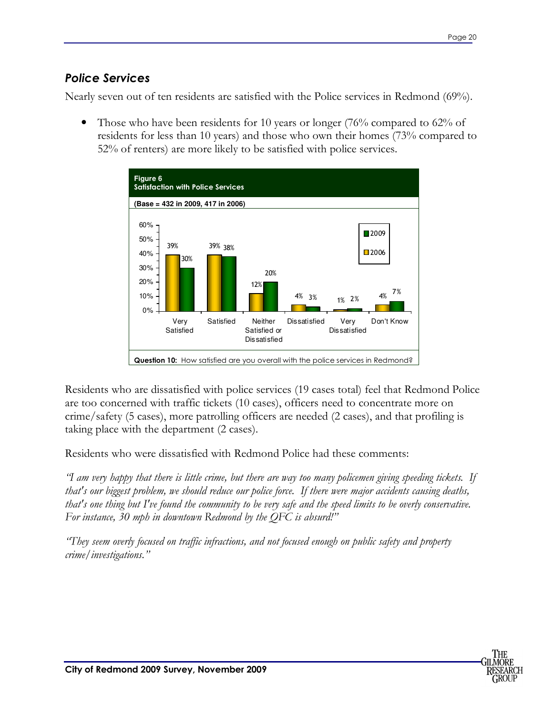#### *Police Services*

Nearly seven out of ten residents are satisfied with the Police services in Redmond (69%).

• Those who have been residents for 10 years or longer (76% compared to 62% of residents for less than 10 years) and those who own their homes (73% compared to 52% of renters) are more likely to be satisfied with police services.



Residents who are dissatisfied with police services (19 cases total) feel that Redmond Police are too concerned with traffic tickets (10 cases), officers need to concentrate more on crime/safety (5 cases), more patrolling officers are needed (2 cases), and that profiling is taking place with the department (2 cases).

Residents who were dissatisfied with Redmond Police had these comments:

*"I am very happy that there is little crime, but there are way too many policemen giving speeding tickets. If that's our biggest problem, we should reduce our police force. If there were major accidents causing deaths, that's one thing but I've found the community to be very safe and the speed limits to be overly conservative. For instance, 30 mph in downtown Redmond by the QFC is absurd!"* 

*"They seem overly focused on traffic infractions, and not focused enough on public safety and property crime/investigations."* 

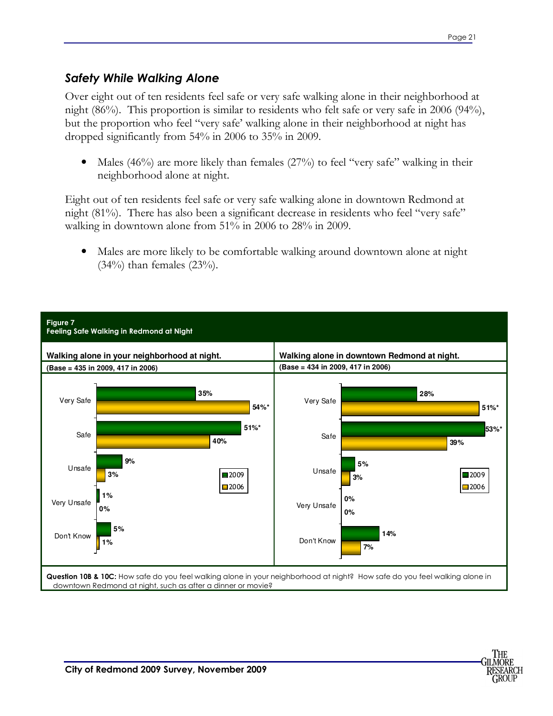∙II MORF SEARCH GROUF

#### *Safety While Walking Alone*

Over eight out of ten residents feel safe or very safe walking alone in their neighborhood at night (86%). This proportion is similar to residents who felt safe or very safe in 2006 (94%), but the proportion who feel "very safe' walking alone in their neighborhood at night has dropped significantly from 54% in 2006 to 35% in 2009.

Males (46%) are more likely than females (27%) to feel "very safe" walking in their neighborhood alone at night.

Eight out of ten residents feel safe or very safe walking alone in downtown Redmond at night (81%). There has also been a significant decrease in residents who feel "very safe" walking in downtown alone from 51% in 2006 to 28% in 2009.

• Males are more likely to be comfortable walking around downtown alone at night  $(34%)$  than females  $(23%)$ .

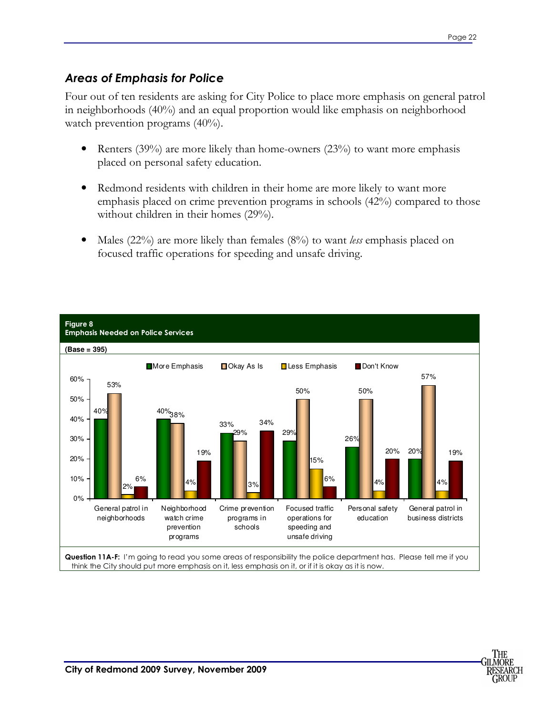#### *Areas of Emphasis for Police*

Four out of ten residents are asking for City Police to place more emphasis on general patrol in neighborhoods (40%) and an equal proportion would like emphasis on neighborhood watch prevention programs (40%).

- Renters  $(39%)$  are more likely than home-owners  $(23%)$  to want more emphasis placed on personal safety education.
- Redmond residents with children in their home are more likely to want more emphasis placed on crime prevention programs in schools (42%) compared to those without children in their homes (29%).
- Males (22%) are more likely than females (8%) to want *less* emphasis placed on focused traffic operations for speeding and unsafe driving.



think the City should put more emphasis on it, less emphasis on it, or if it is okay as it is now.

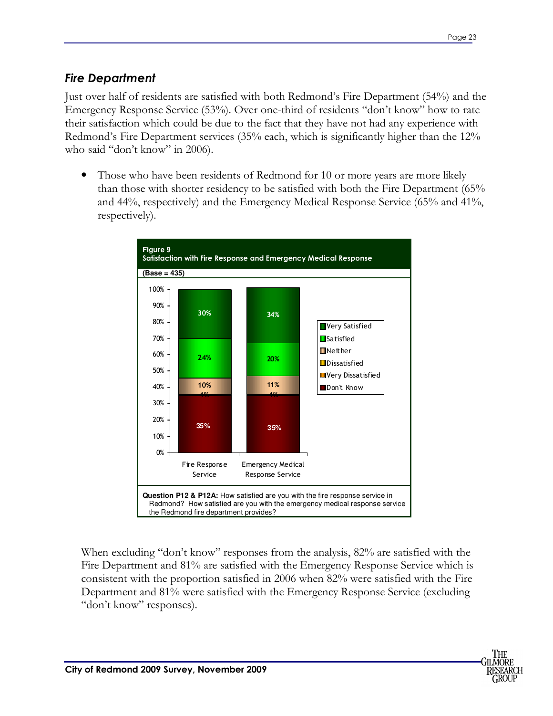#### *Fire Department*

Just over half of residents are satisfied with both Redmond's Fire Department (54%) and the Emergency Response Service (53%). Over one-third of residents "don't know" how to rate their satisfaction which could be due to the fact that they have not had any experience with Redmond's Fire Department services (35% each, which is significantly higher than the 12% who said "don't know" in 2006).

• Those who have been residents of Redmond for 10 or more years are more likely than those with shorter residency to be satisfied with both the Fire Department (65% and 44%, respectively) and the Emergency Medical Response Service (65% and 41%, respectively).



When excluding "don't know" responses from the analysis, 82% are satisfied with the Fire Department and 81% are satisfied with the Emergency Response Service which is consistent with the proportion satisfied in 2006 when 82% were satisfied with the Fire Department and 81% were satisfied with the Emergency Response Service (excluding "don't know" responses).

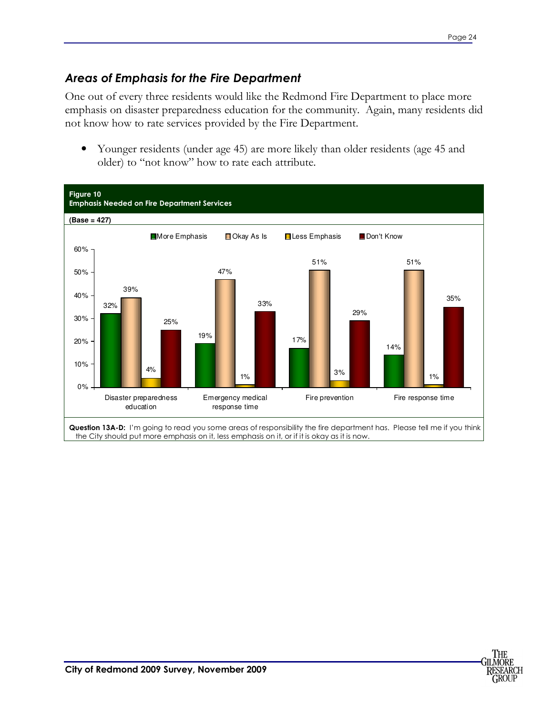#### *Areas of Emphasis for the Fire Department*

One out of every three residents would like the Redmond Fire Department to place more emphasis on disaster preparedness education for the community. Again, many residents did not know how to rate services provided by the Fire Department.

• Younger residents (under age 45) are more likely than older residents (age 45 and older) to "not know" how to rate each attribute.



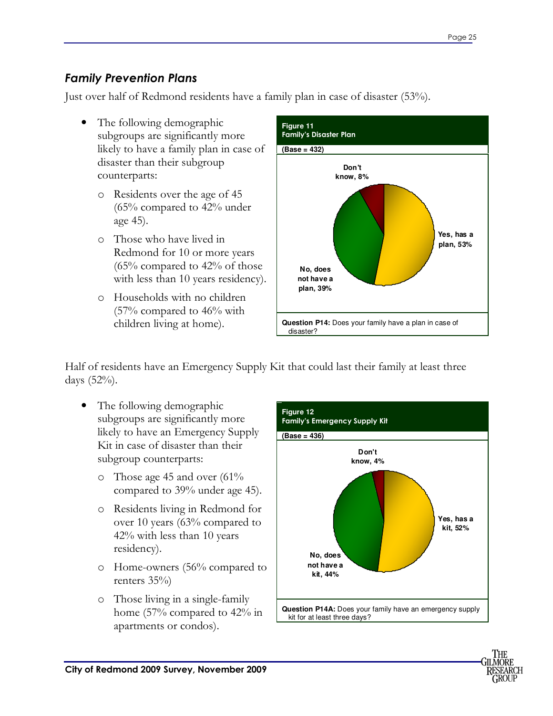#### *Family Prevention Plans*

Just over half of Redmond residents have a family plan in case of disaster (53%).

- The following demographic subgroups are significantly more likely to have a family plan in case of disaster than their subgroup counterparts:
	- o Residents over the age of 45 (65% compared to 42% under age 45).
	- o Those who have lived in Redmond for 10 or more years  $(65\%$  compared to 42% of those with less than 10 years residency).
	- o Households with no children (57% compared to 46% with children living at home).



Half of residents have an Emergency Supply Kit that could last their family at least three days (52%).

- The following demographic subgroups are significantly more likely to have an Emergency Supply Kit in case of disaster than their subgroup counterparts:
	- o Those age 45 and over (61% compared to 39% under age 45).
	- o Residents living in Redmond for over 10 years (63% compared to 42% with less than 10 years residency).
	- o Home-owners (56% compared to renters 35%)
	- o Those living in a single-family home (57% compared to 42% in apartments or condos).



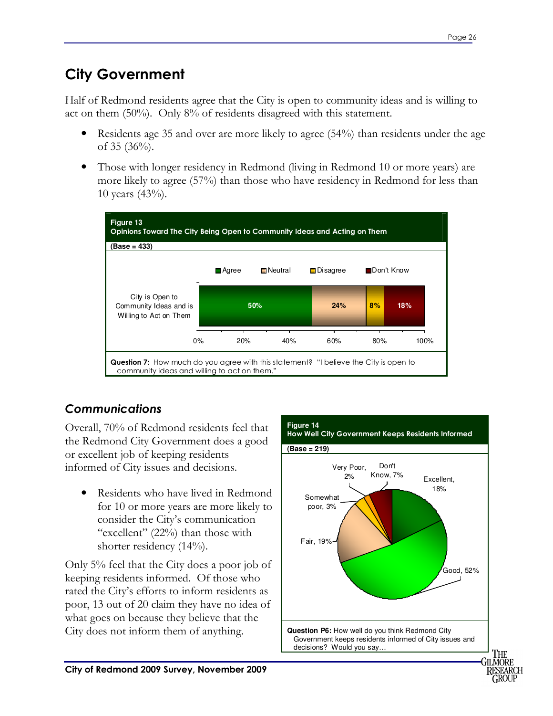### **City Government**

Half of Redmond residents agree that the City is open to community ideas and is willing to act on them (50%). Only 8% of residents disagreed with this statement.

- Residents age 35 and over are more likely to agree (54%) than residents under the age of 35  $(36\%)$ .
- Those with longer residency in Redmond (living in Redmond 10 or more years) are more likely to agree (57%) than those who have residency in Redmond for less than 10 years (43%).



#### *Communications*

Overall, 70% of Redmond residents feel that the Redmond City Government does a good or excellent job of keeping residents informed of City issues and decisions.

• Residents who have lived in Redmond for 10 or more years are more likely to consider the City's communication "excellent" (22%) than those with shorter residency (14%).

Only 5% feel that the City does a poor job of keeping residents informed. Of those who rated the City's efforts to inform residents as poor, 13 out of 20 claim they have no idea of what goes on because they believe that the City does not inform them of anything.



GROUP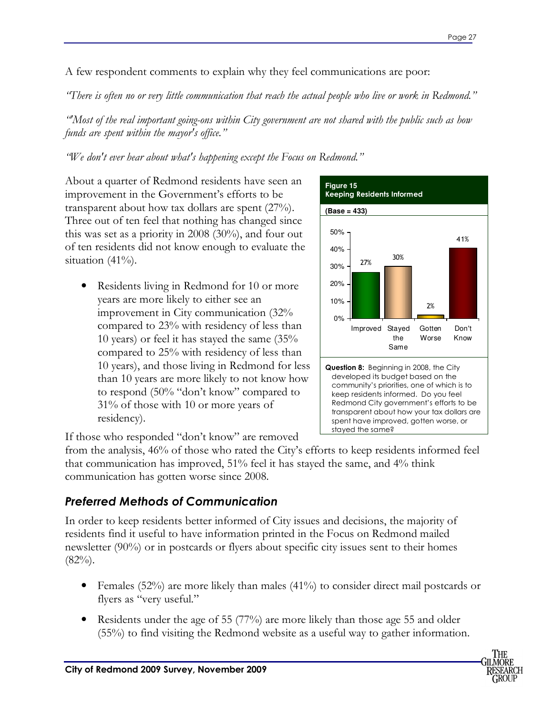A few respondent comments to explain why they feel communications are poor:

*"There is often no or very little communication that reach the actual people who live or work in Redmond."* 

*"'Most of the real important going-ons within City government are not shared with the public such as how funds are spent within the mayor's office."* 

*"We don't ever hear about what's happening except the Focus on Redmond."* 

About a quarter of Redmond residents have seen an improvement in the Government's efforts to be transparent about how tax dollars are spent (27%). Three out of ten feel that nothing has changed since this was set as a priority in 2008 (30%), and four out of ten residents did not know enough to evaluate the situation  $(41\%)$ .

• Residents living in Redmond for 10 or more years are more likely to either see an improvement in City communication (32% compared to 23% with residency of less than 10 years) or feel it has stayed the same (35% compared to 25% with residency of less than 10 years), and those living in Redmond for less than 10 years are more likely to not know how to respond (50% "don't know" compared to 31% of those with 10 or more years of residency).



If those who responded "don't know" are removed

from the analysis, 46% of those who rated the City's efforts to keep residents informed feel that communication has improved, 51% feel it has stayed the same, and 4% think communication has gotten worse since 2008.

#### *Preferred Methods of Communication*

In order to keep residents better informed of City issues and decisions, the majority of residents find it useful to have information printed in the Focus on Redmond mailed newsletter (90%) or in postcards or flyers about specific city issues sent to their homes  $(82\%)$ .

- Females (52%) are more likely than males (41%) to consider direct mail postcards or flyers as "very useful."
- Residents under the age of 55 (77%) are more likely than those age 55 and older (55%) to find visiting the Redmond website as a useful way to gather information.

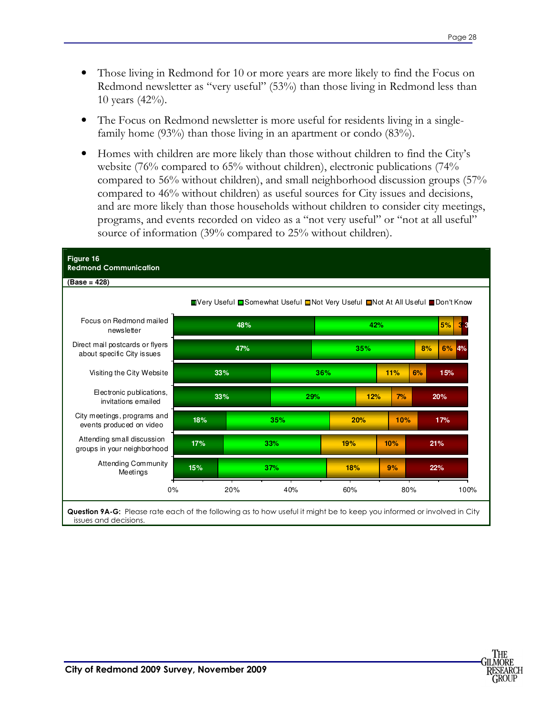- Those living in Redmond for 10 or more years are more likely to find the Focus on Redmond newsletter as "very useful" (53%) than those living in Redmond less than 10 years (42%).
- The Focus on Redmond newsletter is more useful for residents living in a singlefamily home (93%) than those living in an apartment or condo (83%).
- Homes with children are more likely than those without children to find the City's website (76% compared to 65% without children), electronic publications (74% compared to 56% without children), and small neighborhood discussion groups (57% compared to 46% without children) as useful sources for City issues and decisions, and are more likely than those households without children to consider city meetings, programs, and events recorded on video as a "not very useful" or "not at all useful" source of information (39% compared to 25% without children).

| (Base = 428)                                                   |     |            |     |                                                                               |            |           |     |           |     |     |      |
|----------------------------------------------------------------|-----|------------|-----|-------------------------------------------------------------------------------|------------|-----------|-----|-----------|-----|-----|------|
|                                                                |     |            |     | ■Very Useful ■Somewhat Useful ■Not Very Useful ■Not At All Useful ■Don't Know |            |           |     |           |     |     |      |
| Focus on Redmond mailed<br>newsletter                          |     | 48%<br>42% |     |                                                                               |            | 5%        |     |           |     |     |      |
| Direct mail postcards or flyers<br>about specific City is sues |     | 47%        |     |                                                                               | 35%        |           |     |           | 8%  | 6%  | 4%   |
| Visiting the City Website                                      |     | 33%        |     |                                                                               | 36%        |           |     | 11%<br>6% |     | 15% |      |
| Electronic publications,<br>invitations emailed                |     | 33%<br>29% |     |                                                                               |            | 12%<br>7% |     | 20%       |     |     |      |
| City meetings, programs and<br>events produced on video        | 18% |            |     | 35%                                                                           | 20%        |           | 10% |           |     | 17% |      |
| Attending small discussion<br>groups in your neighborhood      | 17% |            | 33% |                                                                               | 19%<br>10% |           |     |           |     | 21% |      |
| <b>Attending Community</b><br>Meetings                         | 15% | 37%        |     | 18%                                                                           |            |           | 9%  |           | 22% |     |      |
| 0%                                                             |     | 20%        |     | 40%                                                                           | 60%        |           |     | 80%       |     |     | 100% |

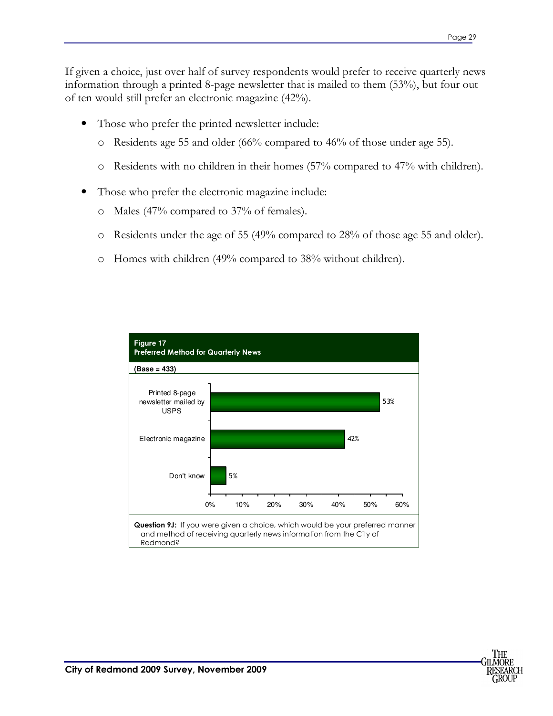If given a choice, just over half of survey respondents would prefer to receive quarterly news information through a printed 8-page newsletter that is mailed to them (53%), but four out of ten would still prefer an electronic magazine (42%).

- Those who prefer the printed newsletter include:
	- o Residents age 55 and older (66% compared to 46% of those under age 55).
	- o Residents with no children in their homes (57% compared to 47% with children).
- Those who prefer the electronic magazine include:
	- o Males (47% compared to 37% of females).
	- o Residents under the age of 55 (49% compared to 28% of those age 55 and older).
	- o Homes with children (49% compared to 38% without children).



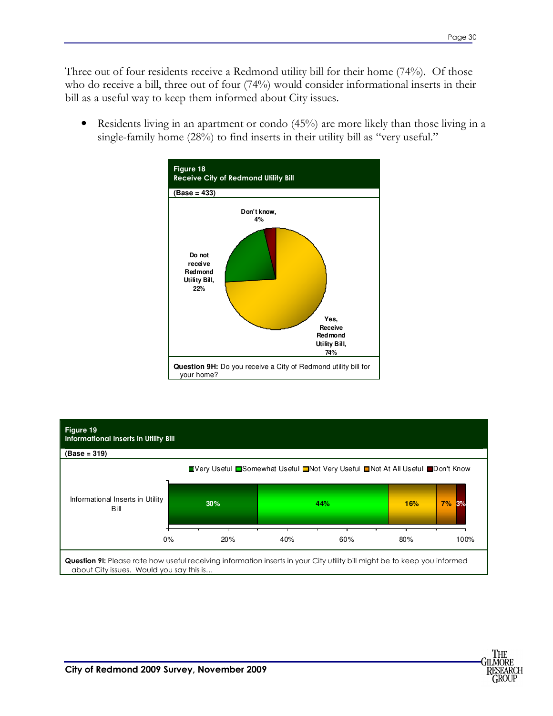Three out of four residents receive a Redmond utility bill for their home (74%). Of those who do receive a bill, three out of four (74%) would consider informational inserts in their bill as a useful way to keep them informed about City issues.

• Residents living in an apartment or condo (45%) are more likely than those living in a single-family home  $(28%)$  to find inserts in their utility bill as "very useful."





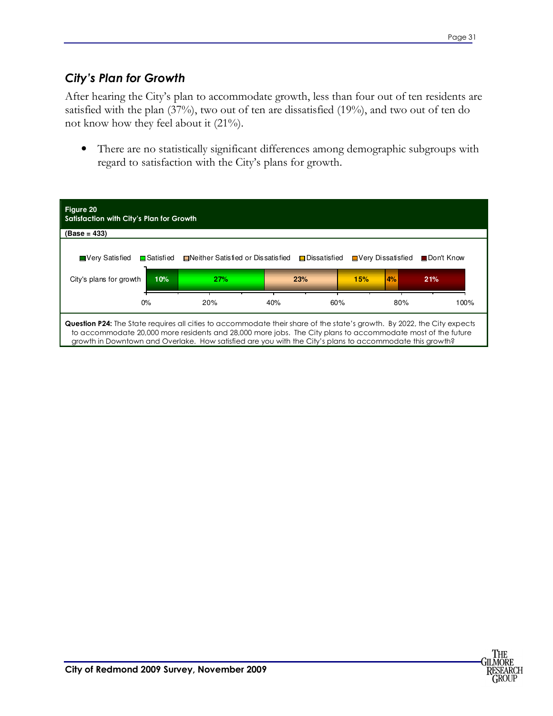#### *City's Plan for Growth*

After hearing the City's plan to accommodate growth, less than four out of ten residents are satisfied with the plan (37%), two out of ten are dissatisfied (19%), and two out of ten do not know how they feel about it (21%).

• There are no statistically significant differences among demographic subgroups with regard to satisfaction with the City's plans for growth.



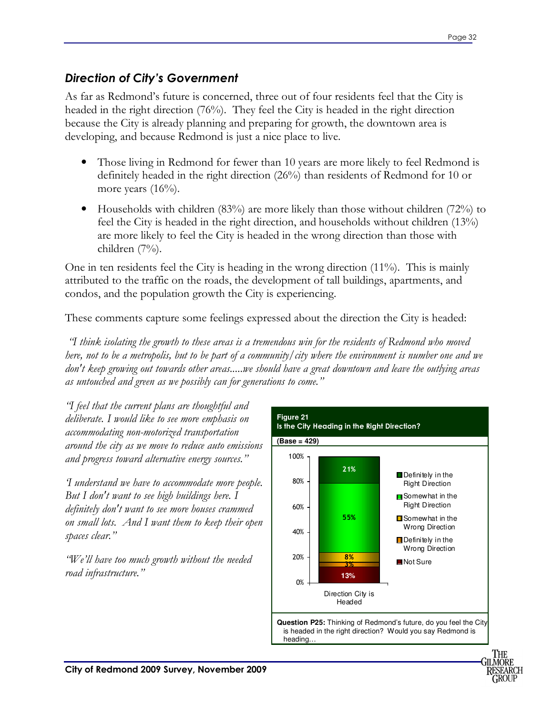#### *Direction of City's Government*

As far as Redmond's future is concerned, three out of four residents feel that the City is headed in the right direction (76%). They feel the City is headed in the right direction because the City is already planning and preparing for growth, the downtown area is developing, and because Redmond is just a nice place to live.

- Those living in Redmond for fewer than 10 years are more likely to feel Redmond is definitely headed in the right direction (26%) than residents of Redmond for 10 or more years  $(16%)$ .
- Households with children (83%) are more likely than those without children (72%) to feel the City is headed in the right direction, and households without children (13%) are more likely to feel the City is headed in the wrong direction than those with children (7%).

One in ten residents feel the City is heading in the wrong direction (11%). This is mainly attributed to the traffic on the roads, the development of tall buildings, apartments, and condos, and the population growth the City is experiencing.

These comments capture some feelings expressed about the direction the City is headed:

 *"I think isolating the growth to these areas is a tremendous win for the residents of Redmond who moved here, not to be a metropolis, but to be part of a community/city where the environment is number one and we don't keep growing out towards other areas.....we should have a great downtown and leave the outlying areas as untouched and green as we possibly can for generations to come."* 

*"I feel that the current plans are thoughtful and deliberate. I would like to see more emphasis on accommodating non-motorized transportation around the city as we move to reduce auto emissions and progress toward alternative energy sources."* 

*'I understand we have to accommodate more people. But I don't want to see high buildings here. I definitely don't want to see more houses crammed on small lots. And I want them to keep their open spaces clear."* 

*"We'll have too much growth without the needed road infrastructure."* 



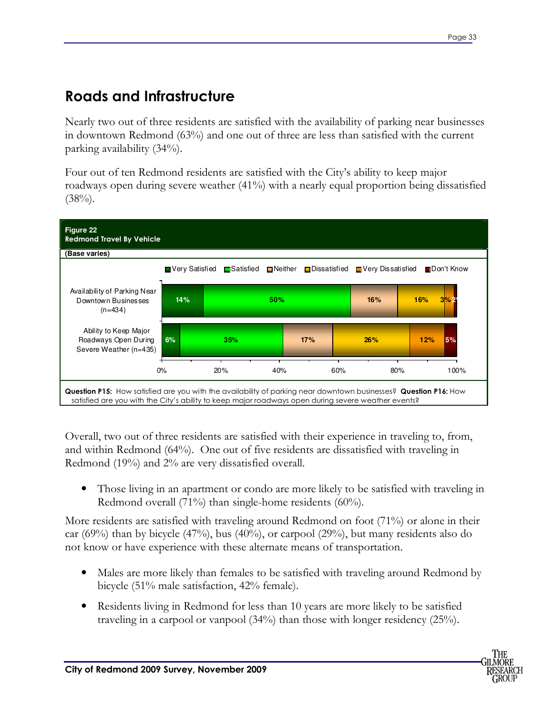### **Roads and Infrastructure**

Nearly two out of three residents are satisfied with the availability of parking near businesses in downtown Redmond (63%) and one out of three are less than satisfied with the current parking availability (34%).

Four out of ten Redmond residents are satisfied with the City's ability to keep major roadways open during severe weather (41%) with a nearly equal proportion being dissatisfied  $(38\%)$ .



Overall, two out of three residents are satisfied with their experience in traveling to, from, and within Redmond (64%). One out of five residents are dissatisfied with traveling in Redmond (19%) and 2% are very dissatisfied overall.

• Those living in an apartment or condo are more likely to be satisfied with traveling in Redmond overall (71%) than single-home residents (60%).

More residents are satisfied with traveling around Redmond on foot (71%) or alone in their car (69%) than by bicycle (47%), bus (40%), or carpool (29%), but many residents also do not know or have experience with these alternate means of transportation.

- Males are more likely than females to be satisfied with traveling around Redmond by bicycle (51% male satisfaction, 42% female).
- Residents living in Redmond for less than 10 years are more likely to be satisfied traveling in a carpool or vanpool (34%) than those with longer residency (25%).

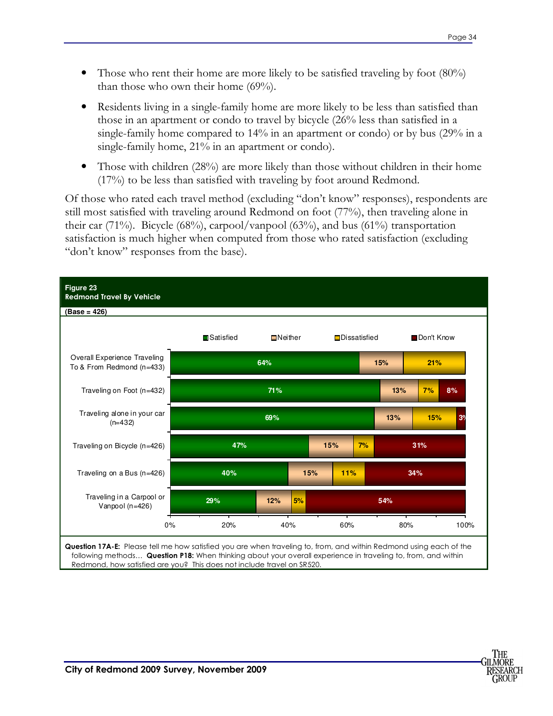- Those who rent their home are more likely to be satisfied traveling by foot  $(80\%)$ than those who own their home (69%).
- Residents living in a single-family home are more likely to be less than satisfied than those in an apartment or condo to travel by bicycle (26% less than satisfied in a single-family home compared to 14% in an apartment or condo) or by bus (29% in a single-family home, 21% in an apartment or condo).
- Those with children (28%) are more likely than those without children in their home (17%) to be less than satisfied with traveling by foot around Redmond.

Of those who rated each travel method (excluding "don't know" responses), respondents are still most satisfied with traveling around Redmond on foot (77%), then traveling alone in their car  $(71\%)$ . Bicycle  $(68\%)$ , carpool/vanpool  $(63\%)$ , and bus  $(61\%)$  transportation satisfaction is much higher when computed from those who rated satisfaction (excluding "don't know" responses from the base).



Redmond, how satisfied are you? This does not include travel on SR520.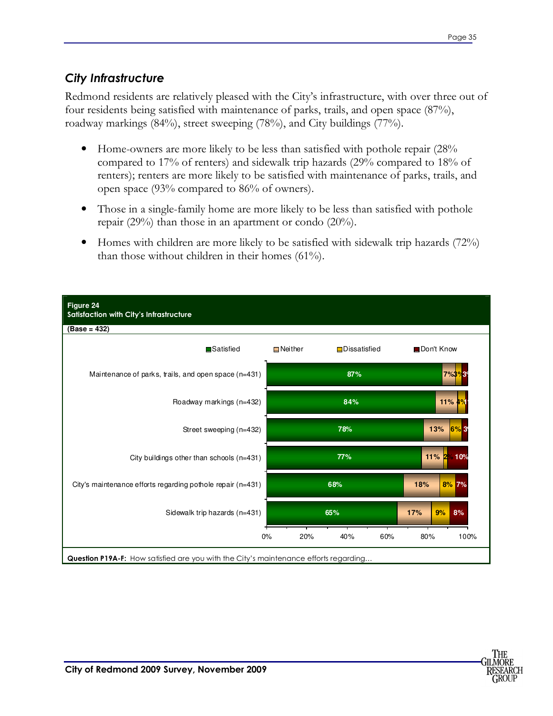#### *City Infrastructure*

Redmond residents are relatively pleased with the City's infrastructure, with over three out of four residents being satisfied with maintenance of parks, trails, and open space (87%), roadway markings (84%), street sweeping (78%), and City buildings (77%).

- Home-owners are more likely to be less than satisfied with pothole repair (28%) compared to 17% of renters) and sidewalk trip hazards (29% compared to 18% of renters); renters are more likely to be satisfied with maintenance of parks, trails, and open space (93% compared to 86% of owners).
- Those in a single-family home are more likely to be less than satisfied with pothole repair (29%) than those in an apartment or condo (20%).
- Homes with children are more likely to be satisfied with sidewalk trip hazards (72%) than those without children in their homes (61%).



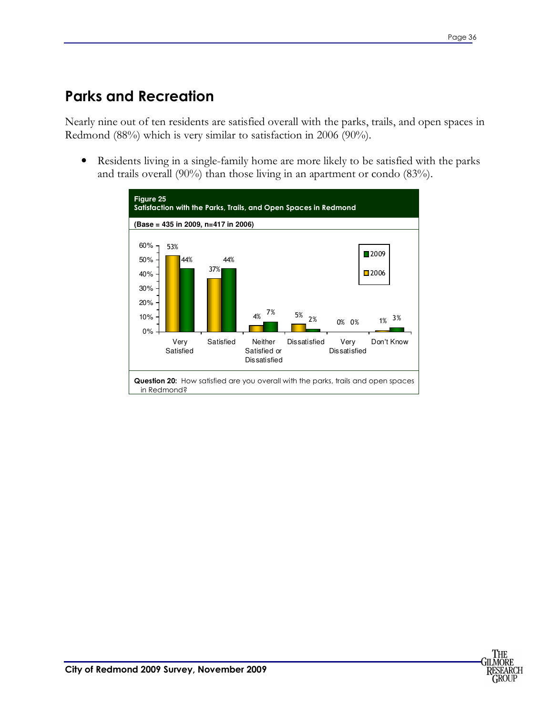### **Parks and Recreation**

Nearly nine out of ten residents are satisfied overall with the parks, trails, and open spaces in Redmond (88%) which is very similar to satisfaction in 2006 (90%).

• Residents living in a single-family home are more likely to be satisfied with the parks and trails overall (90%) than those living in an apartment or condo (83%).

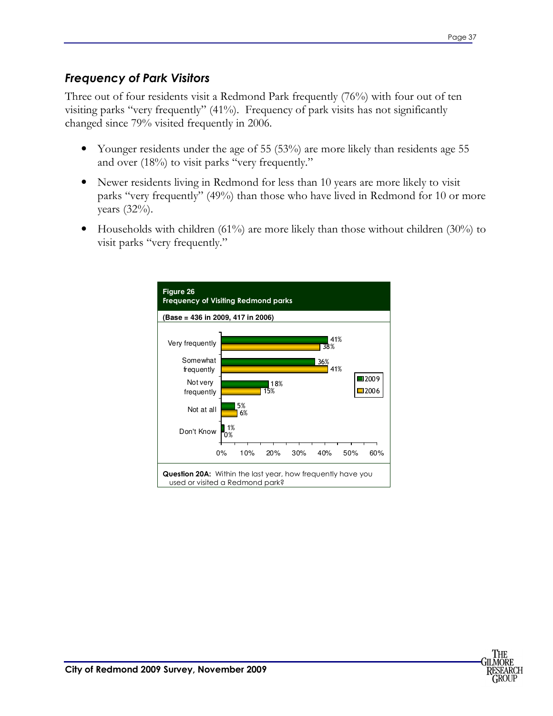#### *Frequency of Park Visitors*

Three out of four residents visit a Redmond Park frequently (76%) with four out of ten visiting parks "very frequently" (41%). Frequency of park visits has not significantly changed since 79% visited frequently in 2006.

- Younger residents under the age of 55 (53%) are more likely than residents age 55 and over (18%) to visit parks "very frequently."
- Newer residents living in Redmond for less than 10 years are more likely to visit parks "very frequently" (49%) than those who have lived in Redmond for 10 or more years (32%).
- Households with children (61%) are more likely than those without children (30%) to visit parks "very frequently."



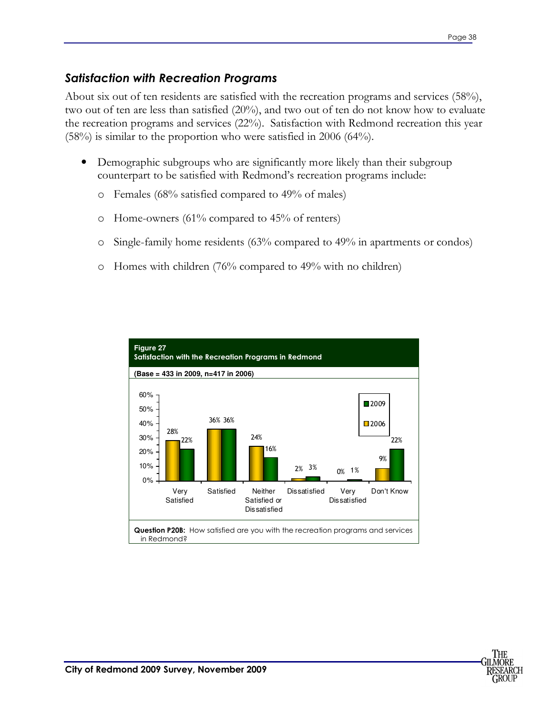#### *Satisfaction with Recreation Programs*

About six out of ten residents are satisfied with the recreation programs and services (58%), two out of ten are less than satisfied (20%), and two out of ten do not know how to evaluate the recreation programs and services (22%). Satisfaction with Redmond recreation this year (58%) is similar to the proportion who were satisfied in 2006 (64%).

- Demographic subgroups who are significantly more likely than their subgroup counterpart to be satisfied with Redmond's recreation programs include:
	- o Females (68% satisfied compared to 49% of males)
	- o Home-owners (61% compared to 45% of renters)
	- o Single-family home residents (63% compared to 49% in apartments or condos)
	- o Homes with children (76% compared to 49% with no children)



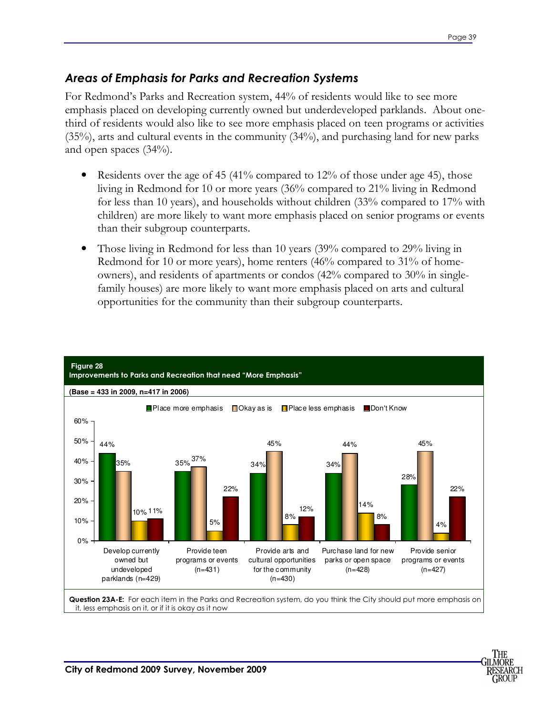#### *Areas of Emphasis for Parks and Recreation Systems*

For Redmond's Parks and Recreation system, 44% of residents would like to see more emphasis placed on developing currently owned but underdeveloped parklands. About onethird of residents would also like to see more emphasis placed on teen programs or activities (35%), arts and cultural events in the community (34%), and purchasing land for new parks and open spaces (34%).

- Residents over the age of 45 (41% compared to 12% of those under age 45), those living in Redmond for 10 or more years (36% compared to 21% living in Redmond for less than 10 years), and households without children (33% compared to 17% with children) are more likely to want more emphasis placed on senior programs or events than their subgroup counterparts.
- Those living in Redmond for less than 10 years (39% compared to 29% living in Redmond for 10 or more years), home renters (46% compared to 31% of homeowners), and residents of apartments or condos (42% compared to 30% in singlefamily houses) are more likely to want more emphasis placed on arts and cultural opportunities for the community than their subgroup counterparts.



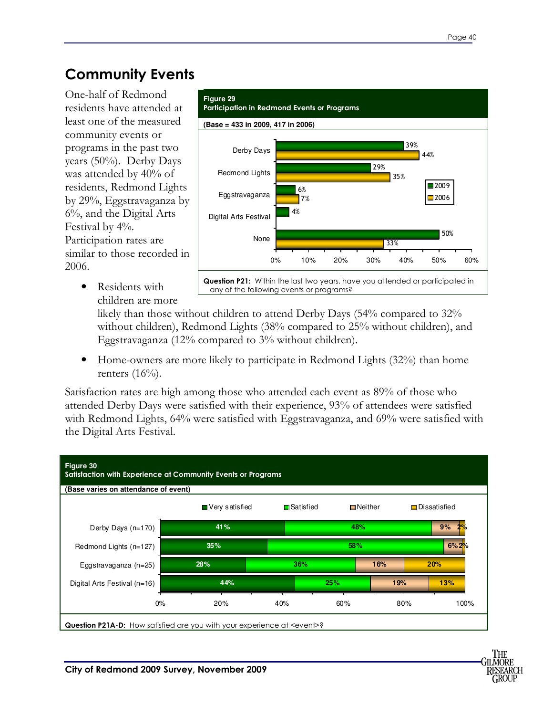### **Community Events**

One-half of Redmond residents have attended at least one of the measured community events or programs in the past two years (50%). Derby Days was attended by 40% of residents, Redmond Lights by 29%, Eggstravaganza by 6%, and the Digital Arts Festival by 4%. Participation rates are similar to those recorded in 2006.

> • Residents with children are more



any of the following events or programs?

likely than those without children to attend Derby Days (54% compared to 32% without children), Redmond Lights (38% compared to 25% without children), and Eggstravaganza (12% compared to 3% without children).

• Home-owners are more likely to participate in Redmond Lights (32%) than home renters  $(16%)$ .

Satisfaction rates are high among those who attended each event as 89% of those who attended Derby Days were satisfied with their experience, 93% of attendees were satisfied with Redmond Lights, 64% were satisfied with Eggstravaganza, and 69% were satisfied with the Digital Arts Festival.

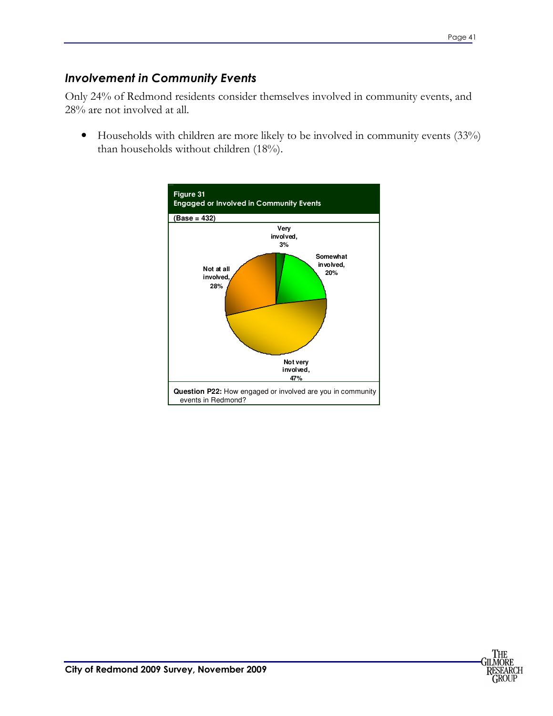#### *Involvement in Community Events*

Only 24% of Redmond residents consider themselves involved in community events, and 28% are not involved at all.

• Households with children are more likely to be involved in community events (33%) than households without children (18%).



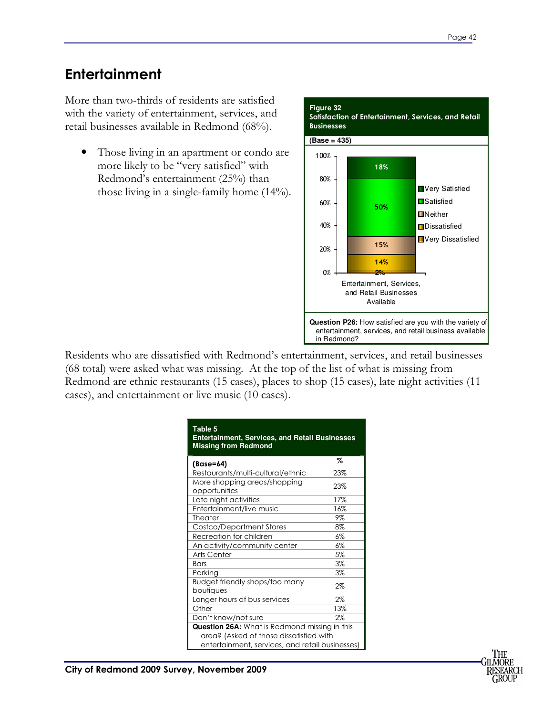### **Entertainment**

More than two-thirds of residents are satisfied with the variety of entertainment, services, and retail businesses available in Redmond (68%).

• Those living in an apartment or condo are more likely to be "very satisfied" with Redmond's entertainment (25%) than those living in a single-family home (14%).



Residents who are dissatisfied with Redmond's entertainment, services, and retail businesses (68 total) were asked what was missing. At the top of the list of what is missing from Redmond are ethnic restaurants (15 cases), places to shop (15 cases), late night activities (11 cases), and entertainment or live music (10 cases).

| <b>Table 5</b><br><b>Entertainment, Services, and Retail Businesses</b><br><b>Missing from Redmond</b>                                      |       |
|---------------------------------------------------------------------------------------------------------------------------------------------|-------|
| (Base=64)                                                                                                                                   | %     |
| Restaurants/multi-cultural/ethnic                                                                                                           | 23%   |
| More shopping areas/shopping<br>opportunities                                                                                               | 23%   |
| Late night activities                                                                                                                       | 17%   |
| Entertainment/live music                                                                                                                    | 16%   |
| Theater                                                                                                                                     | 9%    |
| Costco/Department Stores                                                                                                                    | 8%    |
| Recreation for children                                                                                                                     | $6\%$ |
| An activity/community center                                                                                                                | 6%    |
| Arts Center                                                                                                                                 | 5%    |
| <b>Bars</b>                                                                                                                                 | 3%    |
| Parking                                                                                                                                     | 3%    |
| Budget friendly shops/too many<br>boutiques                                                                                                 | 2%    |
| Longer hours of bus services                                                                                                                | $2\%$ |
| Other                                                                                                                                       | 13%   |
| Don't know/not sure                                                                                                                         | $2\%$ |
| Question 26A: What is Redmond missing in this<br>area? (Asked of those dissatisfied with<br>entertainment, services, and retail businesses) |       |

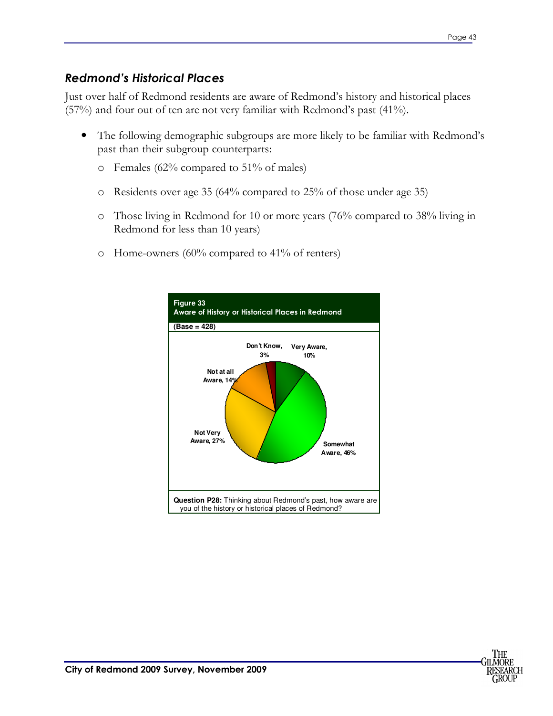#### *Redmond's Historical Places*

Just over half of Redmond residents are aware of Redmond's history and historical places (57%) and four out of ten are not very familiar with Redmond's past (41%).

- The following demographic subgroups are more likely to be familiar with Redmond's past than their subgroup counterparts:
	- o Females (62% compared to 51% of males)
	- o Residents over age 35 (64% compared to 25% of those under age 35)
	- o Those living in Redmond for 10 or more years (76% compared to 38% living in Redmond for less than 10 years)
	- o Home-owners (60% compared to 41% of renters)



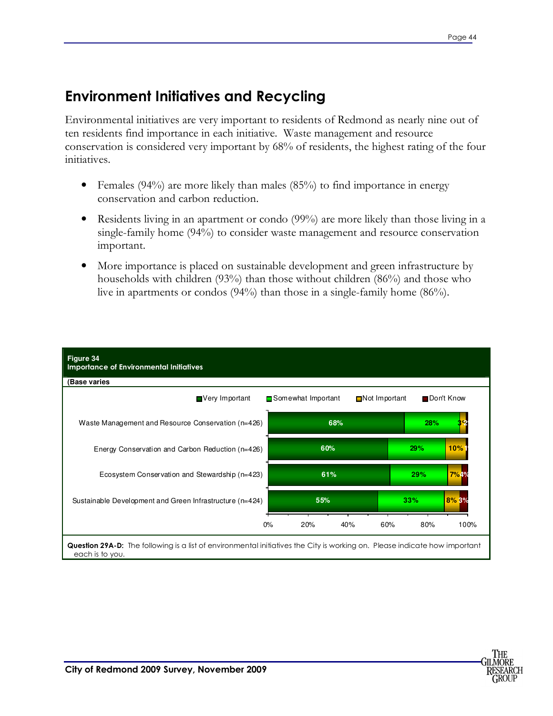### **Environment Initiatives and Recycling**

Environmental initiatives are very important to residents of Redmond as nearly nine out of ten residents find importance in each initiative. Waste management and resource conservation is considered very important by 68% of residents, the highest rating of the four initiatives.

- Females (94%) are more likely than males (85%) to find importance in energy conservation and carbon reduction.
- Residents living in an apartment or condo (99%) are more likely than those living in a single-family home (94%) to consider waste management and resource conservation important.
- More importance is placed on sustainable development and green infrastructure by households with children (93%) than those without children (86%) and those who live in apartments or condos (94%) than those in a single-family home (86%).



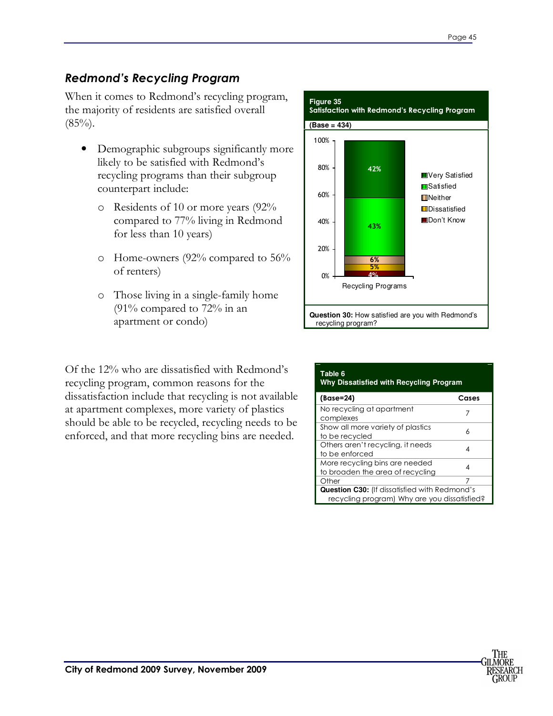#### *Redmond's Recycling Program*

When it comes to Redmond's recycling program, the majority of residents are satisfied overall  $(85\%)$ .

- Demographic subgroups significantly more likely to be satisfied with Redmond's recycling programs than their subgroup counterpart include:
	- o Residents of 10 or more years (92% compared to 77% living in Redmond for less than 10 years)
	- o Home-owners (92% compared to 56% of renters)
	- o Those living in a single-family home (91% compared to 72% in an apartment or condo)

Of the 12% who are dissatisfied with Redmond's recycling program, common reasons for the dissatisfaction include that recycling is not available at apartment complexes, more variety of plastics should be able to be recycled, recycling needs to be enforced, and that more recycling bins are needed.



| Table 6<br><b>Why Dissatisfied with Recycling Program</b>                                            |       |  |  |  |
|------------------------------------------------------------------------------------------------------|-------|--|--|--|
| (Base=24)                                                                                            | Cases |  |  |  |
| No recycling at apartment<br>complexes                                                               |       |  |  |  |
| Show all more variety of plastics<br>to be recycled                                                  | ሐ     |  |  |  |
| Others aren't recycling, it needs<br>to be enforced                                                  | 4     |  |  |  |
| More recycling bins are needed<br>to broaden the area of recycling                                   | 4     |  |  |  |
| Other                                                                                                | 7     |  |  |  |
| <b>Question C30:</b> (If dissatisfied with Redmond's<br>recycling program) Why are you dissatisfied? |       |  |  |  |

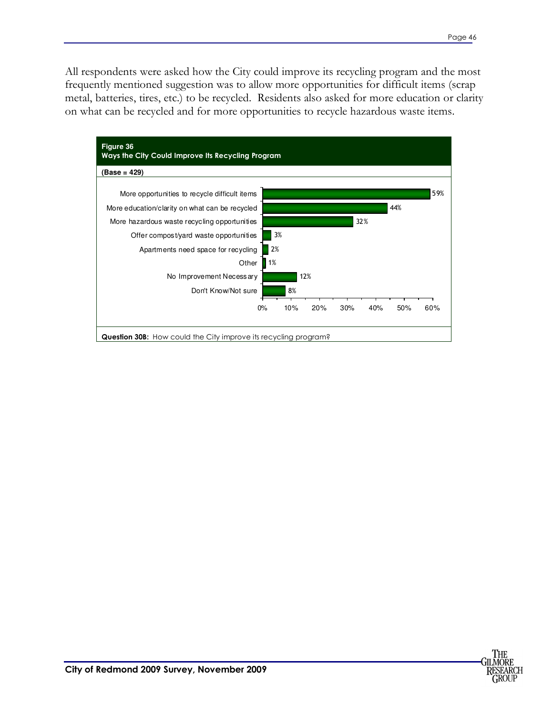All respondents were asked how the City could improve its recycling program and the most frequently mentioned suggestion was to allow more opportunities for difficult items (scrap metal, batteries, tires, etc.) to be recycled. Residents also asked for more education or clarity on what can be recycled and for more opportunities to recycle hazardous waste items.



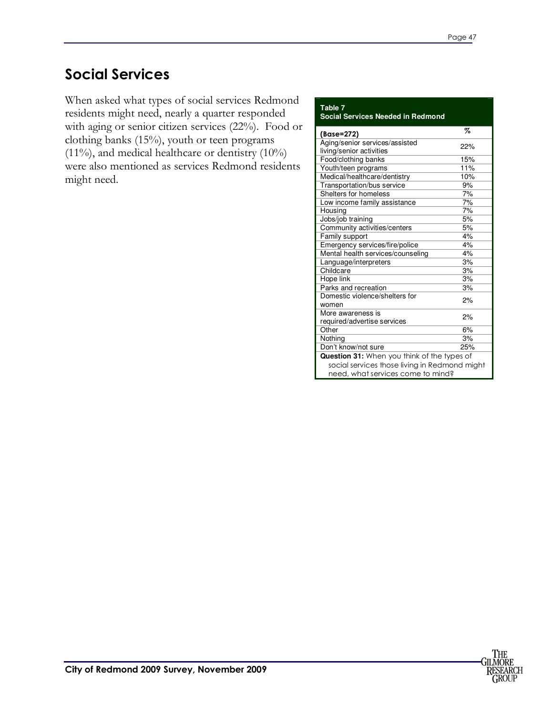### **Social Services**

When asked what types of social services Redmond residents might need, nearly a quarter responded with aging or senior citizen services (22%). Food or clothing banks (15%), youth or teen programs  $(11\%)$ , and medical healthcare or dentistry  $(10\%)$ were also mentioned as services Redmond residents might need.

#### **Table 7 Social Services Needed in Redmond**

| (Base=272)                                                                         | Z   |
|------------------------------------------------------------------------------------|-----|
| Aging/senior services/assisted                                                     | 22% |
| living/senior activities                                                           |     |
| Food/clothing banks                                                                | 15% |
| Youth/teen programs                                                                | 11% |
| Medical/healthcare/dentistry                                                       | 10% |
| Transportation/bus service                                                         | 9%  |
| Shelters for homeless                                                              | 7%  |
| Low income family assistance                                                       | 7%  |
| Housing                                                                            | 7%  |
| Jobs/job training                                                                  | 5%  |
| Community activities/centers                                                       | 5%  |
| Family support                                                                     | 4%  |
| Emergency services/fire/police                                                     | 4%  |
| Mental health services/counseling                                                  | 4%  |
| Language/interpreters                                                              | 3%  |
| Childcare                                                                          | 3%  |
| Hope link                                                                          | 3%  |
| Parks and recreation                                                               | 3%  |
| Domestic violence/shelters for<br>women                                            | 2%  |
| More awareness is<br>required/advertise services                                   | 2%  |
| Other                                                                              | 6%  |
| Nothina                                                                            | 3%  |
| Don't know/not sure                                                                | 25% |
| Question 31: When you think of the types of                                        |     |
| social services those living in Redmond might<br>need, what services come to mind? |     |

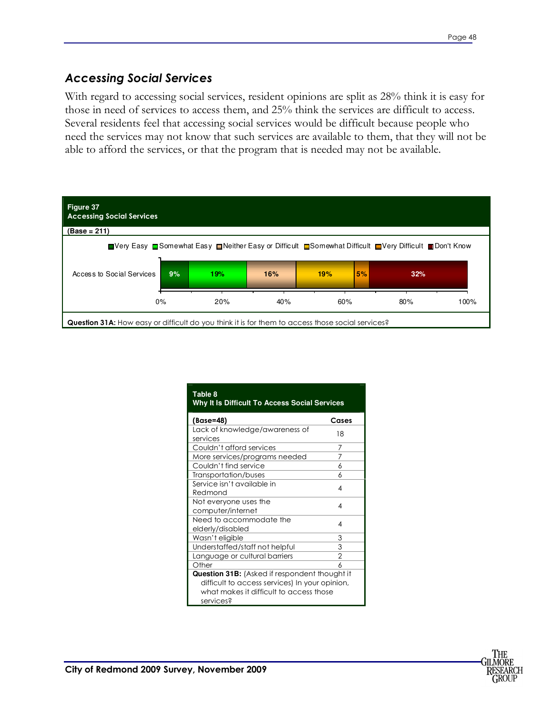#### *Accessing Social Services*

With regard to accessing social services, resident opinions are split as 28% think it is easy for those in need of services to access them, and 25% think the services are difficult to access. Several residents feel that accessing social services would be difficult because people who need the services may not know that such services are available to them, that they will not be able to afford the services, or that the program that is needed may not be available.



| Table 8<br>Why It Is Difficult To Access Social Services                                                                                                |       |
|---------------------------------------------------------------------------------------------------------------------------------------------------------|-------|
| (Base=48)                                                                                                                                               | Cases |
| Lack of knowledge/awareness of<br>services                                                                                                              | 18    |
| Couldn't afford services                                                                                                                                | 7     |
| More services/programs needed                                                                                                                           | 7     |
| Couldn't find service                                                                                                                                   | 6     |
| Transportation/buses                                                                                                                                    | 6     |
| Service isn't available in<br>Redmond                                                                                                                   | 4     |
| Not everyone uses the<br>computer/internet                                                                                                              | 4     |
| Need to accommodate the<br>elderly/disabled                                                                                                             | 4     |
| Wasn't eligible                                                                                                                                         | 3     |
| Understaffed/staff not helpful                                                                                                                          | 3     |
| Language or cultural barriers                                                                                                                           | 2     |
| Other                                                                                                                                                   | h     |
| Question 31B: (Asked if respondent thought it<br>difficult to access services) In your opinion,<br>what makes it difficult to access those<br>services? |       |

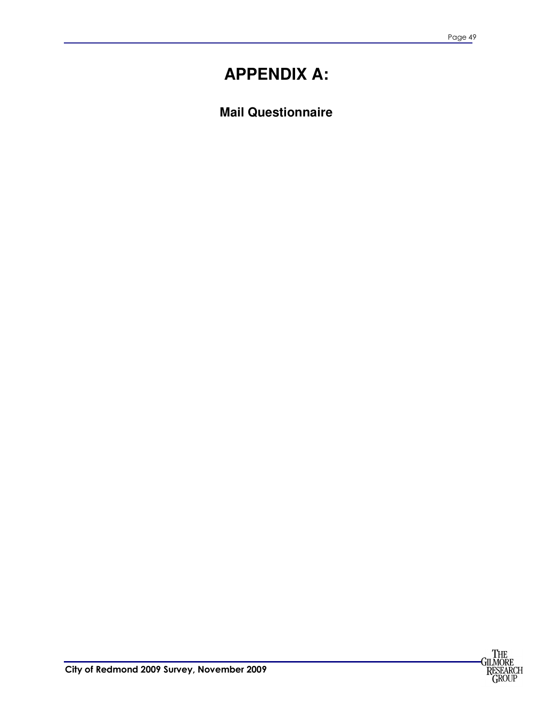## **APPENDIX A:**

**Mail Questionnaire** 

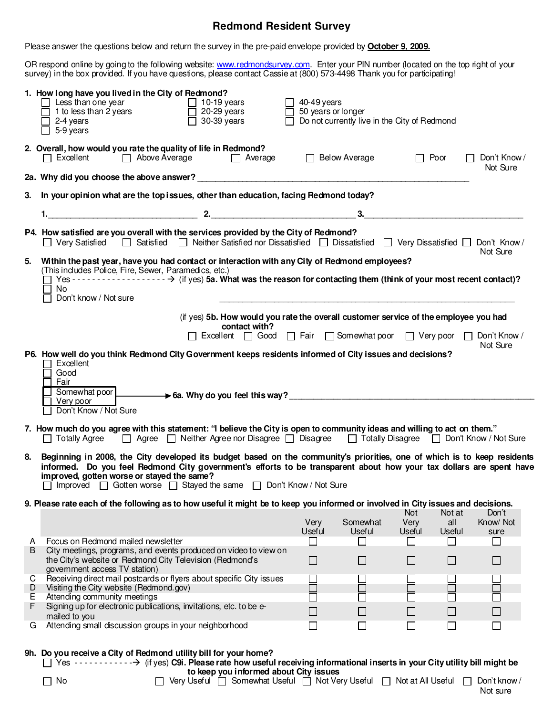#### **Redmond Resident Survey**

Please answer the questions below and return the survey in the pre-paid envelope provided by **October 9, 2009.**

OR respond online by going to the following website: www.redmondsurvey.com. Enter your PIN number (located on the top right of your survey) in the box provided. If you have questions, please contact Cassie at (800) 573-4498 Thank you for participating!

|        | 1. How long have you lived in the City of Redmond?<br>$\Box$ Less than one year<br>$\Box$ 1 to less than 2 years<br>$\Box$ 10-19 years<br>$\Box$ 20-29 years<br>$\overline{\Box}$ 30-39 years<br>$\sqrt{2}$ -4 years<br>$\Box$ 5-9 years                                                                                                                            | 40-49 years<br>$\Box$ 50 years or longer |                    | Do not currently live in the City of Redmond |               |                          |
|--------|---------------------------------------------------------------------------------------------------------------------------------------------------------------------------------------------------------------------------------------------------------------------------------------------------------------------------------------------------------------------|------------------------------------------|--------------------|----------------------------------------------|---------------|--------------------------|
|        | 2. Overall, how would you rate the quality of life in Redmond?<br>Excellent Above Average<br>Average                                                                                                                                                                                                                                                                | □ Below Average                          |                    | $\Box$ Poor                                  |               | Don't Know /<br>Not Sure |
|        | 2a. Why did you choose the above answer? Letter and the state of the state of the state of the state of the state of the state of the state of the state of the state of the state of the state of the state of the state of t                                                                                                                                      |                                          |                    |                                              |               |                          |
|        | 3. In your opinion what are the top issues, other than education, facing Redmond today?                                                                                                                                                                                                                                                                             |                                          |                    |                                              |               |                          |
|        |                                                                                                                                                                                                                                                                                                                                                                     |                                          |                    |                                              |               |                          |
|        | P4. How satisfied are you overall with the services provided by the City of Redmond?<br>□ Very Satisfied □ Satisfied □ Neither Satisfied nor Dissatisfied □ Dissatisfied □ Very Dissatisfied □ Don't Know /                                                                                                                                                         |                                          |                    |                                              |               | Not Sure                 |
| 5.     | Within the past year, have you had contact or interaction with any City of Redmond employees?<br>(This includes Police, Fire, Sewer, Paramedics, etc.)<br>No<br>Don't know / Not sure                                                                                                                                                                               |                                          |                    |                                              |               |                          |
|        | (if yes) 5b. How would you rate the overall customer service of the employee you had<br>contact with?<br>□ Excellent □ Good □ Fair □ Somewhat poor □ Very poor □ Don't Know /                                                                                                                                                                                       |                                          |                    |                                              |               |                          |
|        | P6. How well do you think Redmond City Government keeps residents informed of City issues and decisions?<br>Excellent<br>$\blacksquare$<br>Good<br>Fair<br>- 1<br>Somewhat poor <b>6a.</b> Why do you feel this way?<br>Very poor<br>Don't Know / Not Sure                                                                                                          |                                          |                    |                                              |               |                          |
|        | 7. How much do you agree with this statement: "I believe the City is open to community ideas and willing to act on them."<br>□ Totally Agree □ Agree □ Neither Agree nor Disagree □ Disagree □ Totally Disagree □ Don't Know / Not Sure                                                                                                                             |                                          |                    |                                              |               |                          |
| 8.     | Beginning in 2008, the City developed its budget based on the community's priorities, one of which is to keep residents<br>informed. Do you feel Redmond City government's efforts to be transparent about how your tax dollars are spent have<br>improved, gotten worse or stayed the same?<br>□ Improved □ Gotten worse □ Stayed the same □ Don't Know / Not Sure |                                          |                    |                                              |               |                          |
|        | 9. Please rate each of the following as to how useful it might be to keep you informed or involved in City issues and decisions.                                                                                                                                                                                                                                    |                                          |                    | Not                                          | Not at        | Don't                    |
|        |                                                                                                                                                                                                                                                                                                                                                                     | Very<br>Useful                           | Somewhat<br>Useful | Very<br><b>Useful</b>                        | all<br>Useful | Know/Not<br>sure         |
| A      | Focus on Redmond mailed newsletter                                                                                                                                                                                                                                                                                                                                  | $\Box$                                   | П                  | $\Box$                                       | П             | $\sim$                   |
| B      | City meetings, programs, and events produced on video to view on<br>the City's website or Redmond City Television (Redmond's                                                                                                                                                                                                                                        | $\Box$                                   | $\Box$             | $\Box$                                       | $\Box$        | $\Box$                   |
| C      | govemment access TV station)<br>Receiving direct mail postcards or flyers about specific City issues                                                                                                                                                                                                                                                                |                                          |                    |                                              |               |                          |
| D<br>Е | Visiting the City website (Redmond.gov)<br>Attending community meetings                                                                                                                                                                                                                                                                                             |                                          |                    |                                              | $\Box$        | ×.                       |
| F      | Signing up for electronic publications, invitations, etc. to be e-<br>mailed to you                                                                                                                                                                                                                                                                                 |                                          |                    |                                              | $\Box$        | $\Box$                   |
| G      | Attending small discussion groups in your neighborhood                                                                                                                                                                                                                                                                                                              | $\blacksquare$                           | П                  | $\blacksquare$                               | $\Box$        | $\Box$                   |
|        | 9h. Do you receive a City of Redmond utility bill for your home?<br>$\Box$ Yes -------------> (if yes) C9i. Please rate how useful receiving informational inserts in your City utility bill might be<br>to keep you informed about City issues                                                                                                                     |                                          |                    |                                              |               |                          |
|        | Very Useful   Somewhat Useful   Not Very Useful   Not at All Useful  <br>$\Box$ No                                                                                                                                                                                                                                                                                  |                                          |                    |                                              |               | Don't know /<br>Not sure |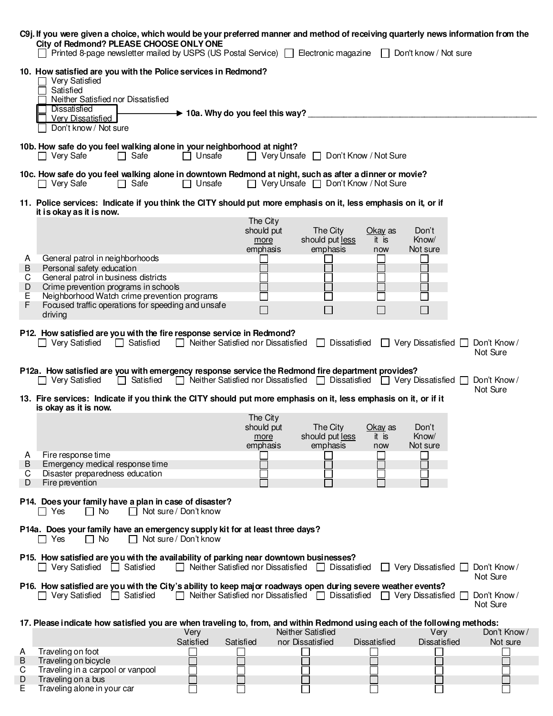|                   | C9j. If you were given a choice, which would be your preferred manner and method of receiving quarterly news information from the<br>City of Redmond? PLEASE CHOOSE ONLY ONE | Printed 8-page newsletter mailed by USPS (US Postal Service) □ Electronic magazine □ Don't know / Not sure |                                              |                                            |                                                                                               |                         |                                                                  |                             |
|-------------------|------------------------------------------------------------------------------------------------------------------------------------------------------------------------------|------------------------------------------------------------------------------------------------------------|----------------------------------------------|--------------------------------------------|-----------------------------------------------------------------------------------------------|-------------------------|------------------------------------------------------------------|-----------------------------|
|                   | 10. How satisfied are you with the Police services in Redmond?<br>Very Satisfied<br>Satisfied<br>Neither Satisfied nor Dissatisfied<br>Dissatisfied                          |                                                                                                            |                                              |                                            |                                                                                               |                         |                                                                  |                             |
|                   | <b>Verv Dissatisfied</b><br>Don't know / Not sure                                                                                                                            |                                                                                                            | $\rightarrow$ 10a. Why do you feel this way? |                                            |                                                                                               |                         |                                                                  |                             |
|                   | 10b. How safe do you feel walking alone in your neighborhood at night?<br>$\Box$ Very Safe                                                                                   | $\Box$ Safe                                                                                                | $\Box$ Unsafe                                |                                            | $\Box$ Very Unsafe $\Box$ Don't Know / Not Sure                                               |                         |                                                                  |                             |
|                   | 10c. How safe do you feel walking alone in downtown Redmond at night, such as after a dinner or movie?<br>$\Box$ Very Safe                                                   | $\Box$ Safe                                                                                                | $\Box$ Unsafe                                |                                            | $\Box$ Very Unsafe $\Box$ Don't Know / Not Sure                                               |                         |                                                                  |                             |
|                   | 11. Police services: Indicate if you think the CITY should put more emphasis on it, less emphasis on it, or if<br>it is okay as it is now.                                   |                                                                                                            |                                              |                                            |                                                                                               |                         |                                                                  |                             |
|                   |                                                                                                                                                                              |                                                                                                            |                                              | The City<br>should put<br>more<br>emphasis | The City<br>should put less<br>emphasis                                                       | Okay as<br>it is<br>now | Don't<br>Know/<br>Not sure                                       |                             |
| A<br>$\sf B$<br>C | General patrol in neighborhoods<br>Personal safety education<br>General patrol in business districts                                                                         |                                                                                                            |                                              |                                            |                                                                                               |                         |                                                                  |                             |
| D<br>Ε<br>F       | Crime prevention programs in schools<br>Neighborhood Watch crime prevention programs<br>Focused traffic operations for speeding and unsafe<br>driving                        |                                                                                                            |                                              | $\Box$                                     | $\sim$<br>□                                                                                   | $\Box$                  | $\Box$                                                           |                             |
|                   | P12. How satisfied are you with the fire response service in Redmond?<br>$\Box$ Very Satisfied                                                                               | $\Box$ Satisfied                                                                                           | □ Neither Satisfied nor Dissatisfied         |                                            |                                                                                               |                         | $\Box$ Dissatisfied $\Box$ Very Dissatisfied $\Box$ Don't Know / | Not Sure                    |
|                   | P12a. How satisfied are you with emergency response service the Redmond fire department provides?<br>$\Box$ Very Satisfied                                                   | □ Satisfied □ Neither Satisfied nor Dissatisfied □ Dissatisfied □ Very Dissatisfied □ Don't Know /         |                                              |                                            |                                                                                               |                         |                                                                  |                             |
|                   | 13. Fire services: Indicate if you think the CITY should put more emphasis on it, less emphasis on it, or if it<br>is okay as it is now.                                     |                                                                                                            |                                              |                                            |                                                                                               |                         |                                                                  | Not Sure                    |
|                   |                                                                                                                                                                              |                                                                                                            |                                              | The City<br>should put<br>more<br>emphasis | The City<br>should put less<br>emphasis                                                       | Okay as<br>it is<br>now | Don't<br>Know/<br>Not sure                                       |                             |
| A                 | Fire response time                                                                                                                                                           |                                                                                                            |                                              |                                            |                                                                                               |                         |                                                                  |                             |
| B<br>C            | Emergency medical response time<br>Disaster preparedness education                                                                                                           |                                                                                                            |                                              |                                            |                                                                                               |                         |                                                                  |                             |
| D                 | Fire prevention                                                                                                                                                              |                                                                                                            |                                              |                                            |                                                                                               |                         |                                                                  |                             |
|                   | P14. Does your family have a plan in case of disaster?<br>$\Box$ No<br>$\Box$ Yes                                                                                            | $\Box$ Not sure / Don't know                                                                               |                                              |                                            |                                                                                               |                         |                                                                  |                             |
|                   | P14a. Does your family have an emergency supply kit for at least three days?<br>$\Box$ No<br>∏ Yes                                                                           | $\Box$ Not sure / Don't know                                                                               |                                              |                                            |                                                                                               |                         |                                                                  |                             |
|                   | P15. How satisfied are you with the availability of parking near downtown businesses?<br>□ Very Satisfied                                                                    | $\Box$ Satisfied                                                                                           |                                              |                                            | $\Box$ Neither Satisfied nor Dissatisfied $\Box$ Dissatisfied                                 |                         | $\Box$ Very Dissatisfied $\Box$ Don't Know /                     | Not Sure                    |
|                   | P16. How satisfied are you with the City's ability to keep major roadways open during severe weather events?<br>$\Box$ Very Satisfied $\Box$ Satisfied                       |                                                                                                            |                                              |                                            | $\Box$ Neither Satisfied nor Dissatisfied $\Box$ Dissatisfied $\Box$ Very Dissatisfied $\Box$ |                         |                                                                  | Don't Know/<br>Not Sure     |
|                   | 17. Please indicate how satisfied you are when traveling to, from, and within Redmond using each of the following methods:                                                   |                                                                                                            | Very                                         |                                            | Neither Satisfied                                                                             |                         | Very                                                             | Don't Know/                 |
| A                 | Traveling on foot                                                                                                                                                            |                                                                                                            | Satisfied                                    | Satisfied                                  | nor Dissatisfied                                                                              | <b>Dissatisfied</b>     | <b>Dissatisfied</b>                                              | Not sure                    |
| B<br>C            | Traveling on bicycle<br>Traveling in a carpool or vanpool                                                                                                                    |                                                                                                            |                                              |                                            |                                                                                               |                         |                                                                  |                             |
| D                 | Traveling on a bus                                                                                                                                                           |                                                                                                            |                                              |                                            |                                                                                               |                         |                                                                  | L.                          |
| Е                 | Traveling alone in your car                                                                                                                                                  |                                                                                                            |                                              |                                            |                                                                                               |                         |                                                                  | $\mathcal{L}_{\mathcal{A}}$ |

| $$ and $$ is a second in the second $$ |  |
|----------------------------------------|--|
| Traveling alone in your ca             |  |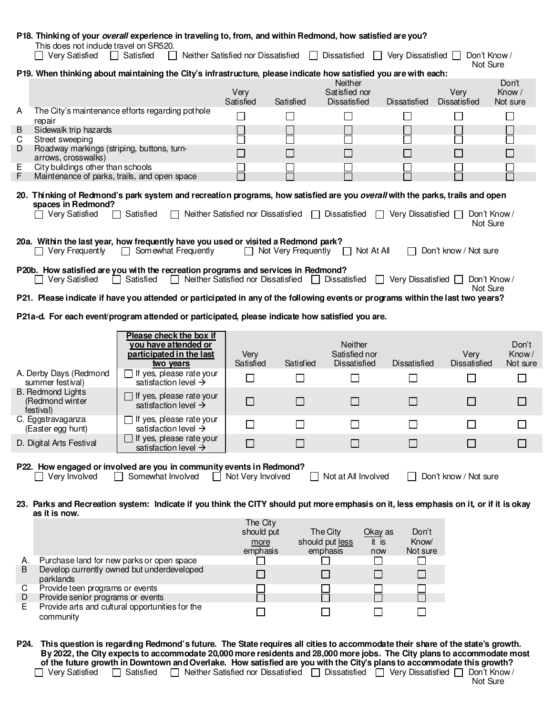|        | This does not indude travel on SR520.                                             | P18. Thinking of your overall experience in traveling to, from, and within Redmond, how satisfied are you?                            |                                                     |           |                                                                           |                             |                             |                    |
|--------|-----------------------------------------------------------------------------------|---------------------------------------------------------------------------------------------------------------------------------------|-----------------------------------------------------|-----------|---------------------------------------------------------------------------|-----------------------------|-----------------------------|--------------------|
|        | Very Satisfied                                                                    | Satisfied                                                                                                                             | Neither Satisfied nor Dissatisfied                  | $\perp$   | Dissatisfied                                                              | Very Dissatisfied $\Box$    | Don't Know/<br>Not Sure     |                    |
|        |                                                                                   | P19. When thinking about maintaining the City's infrastructure, please indicate how satisfied you are with each:                      |                                                     |           | Neither                                                                   |                             |                             | Don't              |
|        |                                                                                   |                                                                                                                                       | Very<br>Satisfied                                   | Satisfied | Satisfied nor<br>Dissatisfied                                             | Dissatisfied                | Very<br>Dissatisfied        | Know /<br>Not sure |
| A      |                                                                                   | The City's maintenance efforts regarding pothole                                                                                      | $\Box$                                              | $\Box$    | $\Box$                                                                    | $\Box$                      | $\Box$                      | $\Box$             |
| B      | repair<br>Sidewalk trip hazards                                                   |                                                                                                                                       |                                                     |           |                                                                           |                             |                             |                    |
| C<br>D | Street sweeping                                                                   |                                                                                                                                       |                                                     |           | П                                                                         |                             |                             |                    |
|        | Roadway markings (striping, buttons, turn-<br>arrows, crosswalks)                 |                                                                                                                                       |                                                     |           |                                                                           | $\Box$                      | $\Box$                      |                    |
| Ε<br>F | City buildings other than schools<br>Maintenance of parks, trails, and open space |                                                                                                                                       |                                                     |           |                                                                           | $\mathcal{L}_{\mathcal{A}}$ | $\sim$                      |                    |
|        |                                                                                   |                                                                                                                                       |                                                     |           |                                                                           |                             |                             |                    |
|        | spaces in Redmond?                                                                | 20. Thinking of Redmond's park system and recreation programs, how satisfied are you overall with the parks, trails and open          |                                                     |           |                                                                           |                             |                             |                    |
|        | $\Box$ Very Satisfied                                                             | $\Box$ Satisfied                                                                                                                      |                                                     |           | □ Neither Satisfied nor Dissatisfied □ Dissatisfied □ Very Dissatisfied □ |                             | Don't Know /<br>Not Sure    |                    |
|        | $\Box$ Very Frequently                                                            | 20a. Within the last year, how frequently have you used or visited a Redmond park?<br>$\Box$ Som ewhat Frequently                     |                                                     |           | $\Box$ Not Very Frequently $\Box$ Not At All                              |                             | Don't know / Not sure       |                    |
|        |                                                                                   | P20b. How satisfied are you with the recreation programs and services in Redmond?                                                     |                                                     |           |                                                                           |                             |                             |                    |
|        | □ Very Satisfied                                                                  | Satisfied<br>$\mathsf{L}$                                                                                                             | □ Neither Satisfied nor Dissatisfied □ Dissatisfied |           | $\perp$                                                                   | Very Dissatisfied [         | Don't Know /                |                    |
|        |                                                                                   | P21. Please indicate if have you attended or participated in any of the following events or programs within the last two years?       |                                                     |           |                                                                           |                             | Not Sure                    |                    |
|        |                                                                                   |                                                                                                                                       |                                                     |           |                                                                           |                             |                             |                    |
|        |                                                                                   | P21a-d. For each event/program attended or participated, please indicate how satisfied you are.                                       |                                                     |           |                                                                           |                             |                             |                    |
|        |                                                                                   | Please check the box if                                                                                                               |                                                     |           |                                                                           |                             |                             |                    |
|        |                                                                                   | you have attended or<br>participated in the last                                                                                      | Very                                                |           | Neither<br>Satisfied nor                                                  |                             | Very                        | Don't<br>Know/     |
|        |                                                                                   | two years                                                                                                                             | Satisfied                                           | Satisfied | Dissatisfied                                                              | Dissatisfied                | <b>Dissatisfied</b>         | Not sure           |
|        | A. Derby Days (Redmond<br>summer festival)                                        | $\Box$ If yes, please rate your<br>satisfaction level $\rightarrow$                                                                   | $\Box$                                              | $\Box$    | $\Box$                                                                    |                             | $\mathcal{L}_{\mathcal{A}}$ | F.                 |
|        | <b>B.</b> Redmond Lights<br>(Redmond winter                                       | $\Box$ If yes, please rate your<br>satisfaction level $\rightarrow$                                                                   | □                                                   | □         | □                                                                         | $\overline{\phantom{a}}$    | $\Box$                      | $\mathsf{L}$       |
|        | festival)<br>C. Eggstravaganza                                                    | $\Box$ If yes, please rate your                                                                                                       |                                                     |           |                                                                           |                             |                             |                    |
|        | (Easter egg hunt)                                                                 | satisfaction level $\rightarrow$                                                                                                      | $\Box$                                              | П         | $\Box$                                                                    |                             |                             |                    |
|        | D. Digital Arts Festival                                                          | If yes, please rate your<br>satisfaction level $\rightarrow$                                                                          | $\Box$                                              |           | $\mathsf{L}$                                                              |                             |                             |                    |
|        |                                                                                   |                                                                                                                                       |                                                     |           |                                                                           |                             |                             |                    |
|        | $\Box$ Very Involved                                                              | P22. How engaged or involved are you in community events in Redmond?<br>Somewhat Involved<br>$\Box$                                   | Not Very Involved<br>$\mathbf{1}$                   |           | Not at All Involved                                                       |                             | Don't know / Not sure       |                    |
|        |                                                                                   |                                                                                                                                       |                                                     |           |                                                                           |                             |                             |                    |
|        |                                                                                   | 23. Parks and Recreation system: Indicate if you think the CITY should put more emphasis on it, less emphasis on it, or if it is okay |                                                     |           |                                                                           |                             |                             |                    |
|        | as it is now.                                                                     |                                                                                                                                       | The City                                            |           |                                                                           |                             |                             |                    |
|        |                                                                                   |                                                                                                                                       | should put                                          |           | The City<br>Okay as                                                       | Don't                       |                             |                    |
| Α.     |                                                                                   | Purchase land for new parks or open space                                                                                             | more<br>emphasis                                    |           | should put less<br>it is<br>emphasis<br>now<br>$\Box$                     | Know/<br>Not sure           |                             |                    |

| D  | Develop currently owned but underdeveloped<br>parklands      |  |  |  |
|----|--------------------------------------------------------------|--|--|--|
| C. | Provide teen programs or events                              |  |  |  |
|    | Provide senior programs or events                            |  |  |  |
| E. | Provide arts and cultural opportunities for the<br>community |  |  |  |

**P24. This question is regarding Redmond's future. The State requires all cities to accommodate their share of the state's growth. By 2022, the City expects to accommodate 20,000 more residents and 28,000 more jobs. The City plans to accommodate most of the future growth in Downtown and Overlake. How satisfied are you with the City's plans to accommodate this growth?**  Very Satisfied  $\Box$  Satisfied  $\Box$  Neither Satisfied nor Dissatisfied  $\Box$  Dissatisfied  $\Box$  Very Dissatisfied  $\Box$  Don't Know /